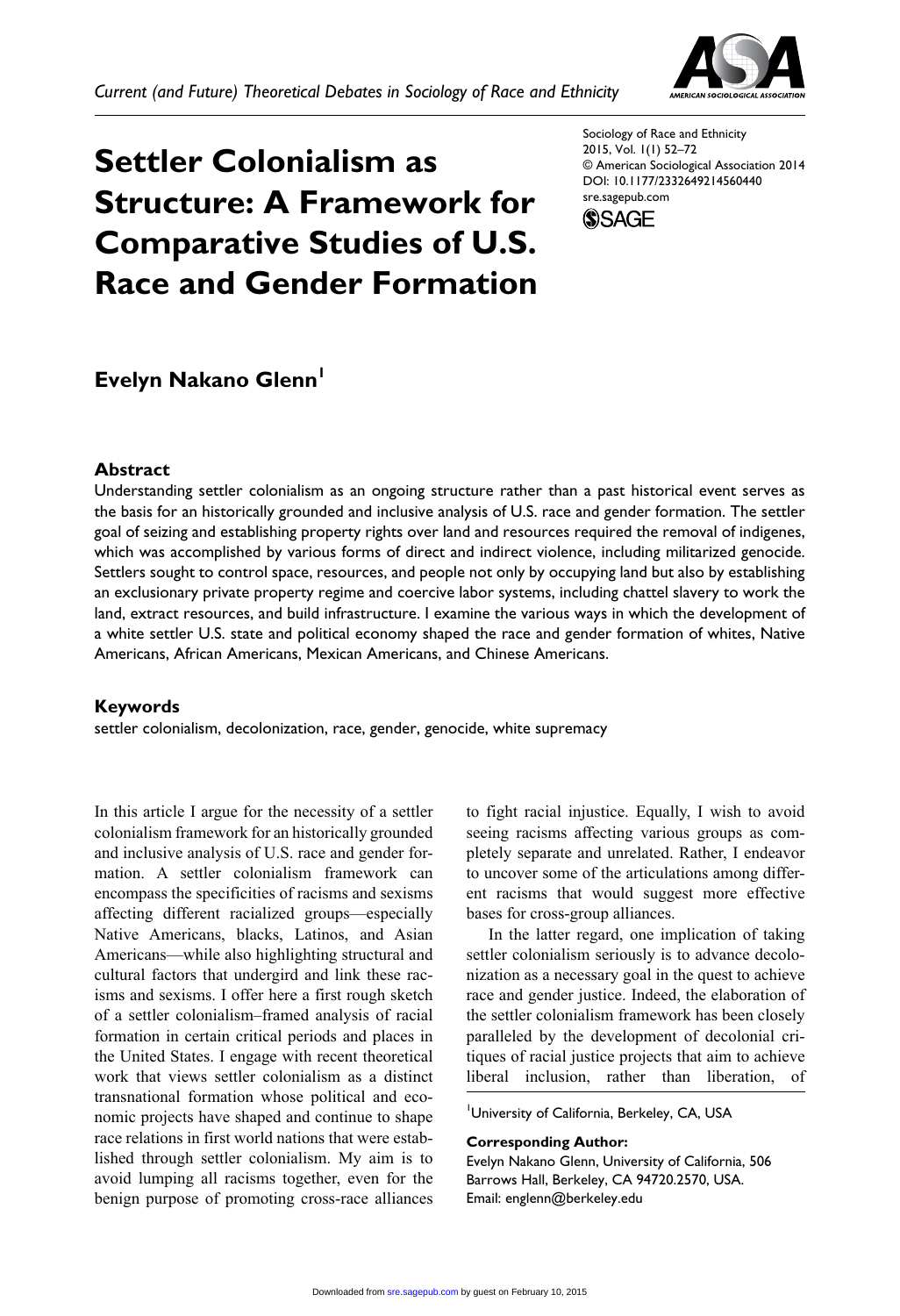

# **Settler Colonialism as Structure: A Framework for Comparative Studies of U.S. Race and Gender Formation**

Sociology of Race and Ethnicity 2015, Vol. 1(1) 52–72 © American Sociological Association 2014 DOI: 10.1177/2332649214560440 sre.sagepub.com



# **Evelyn Nakano Glenn<sup>1</sup>**

#### **Abstract**

Understanding settler colonialism as an ongoing structure rather than a past historical event serves as the basis for an historically grounded and inclusive analysis of U.S. race and gender formation. The settler goal of seizing and establishing property rights over land and resources required the removal of indigenes, which was accomplished by various forms of direct and indirect violence, including militarized genocide. Settlers sought to control space, resources, and people not only by occupying land but also by establishing an exclusionary private property regime and coercive labor systems, including chattel slavery to work the land, extract resources, and build infrastructure. I examine the various ways in which the development of a white settler U.S. state and political economy shaped the race and gender formation of whites, Native Americans, African Americans, Mexican Americans, and Chinese Americans.

#### **Keywords**

settler colonialism, decolonization, race, gender, genocide, white supremacy

In this article I argue for the necessity of a settler colonialism framework for an historically grounded and inclusive analysis of U.S. race and gender formation. A settler colonialism framework can encompass the specificities of racisms and sexisms affecting different racialized groups—especially Native Americans, blacks, Latinos, and Asian Americans—while also highlighting structural and cultural factors that undergird and link these racisms and sexisms. I offer here a first rough sketch of a settler colonialism–framed analysis of racial formation in certain critical periods and places in the United States. I engage with recent theoretical work that views settler colonialism as a distinct transnational formation whose political and economic projects have shaped and continue to shape race relations in first world nations that were established through settler colonialism. My aim is to avoid lumping all racisms together, even for the benign purpose of promoting cross-race alliances to fight racial injustice. Equally, I wish to avoid seeing racisms affecting various groups as completely separate and unrelated. Rather, I endeavor to uncover some of the articulations among different racisms that would suggest more effective bases for cross-group alliances.

In the latter regard, one implication of taking settler colonialism seriously is to advance decolonization as a necessary goal in the quest to achieve race and gender justice. Indeed, the elaboration of the settler colonialism framework has been closely paralleled by the development of decolonial critiques of racial justice projects that aim to achieve liberal inclusion, rather than liberation, of

1 University of California, Berkeley, CA, USA

#### **Corresponding Author:**

Evelyn Nakano Glenn, University of California, 506 Barrows Hall, Berkeley, CA 94720.2570, USA. Email: englenn@berkeley.edu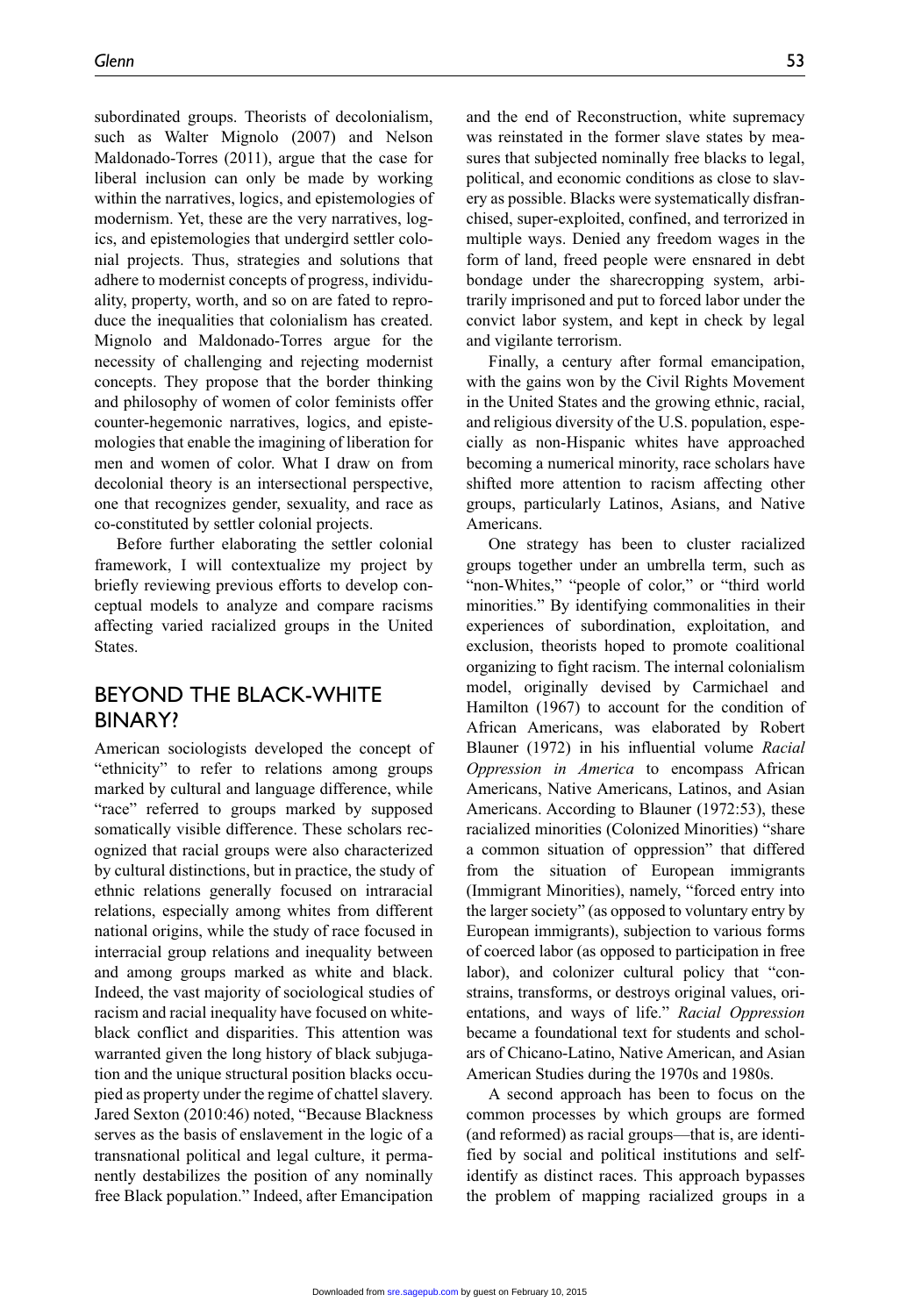subordinated groups. Theorists of decolonialism, such as Walter Mignolo (2007) and Nelson Maldonado-Torres (2011), argue that the case for liberal inclusion can only be made by working within the narratives, logics, and epistemologies of modernism. Yet, these are the very narratives, logics, and epistemologies that undergird settler colonial projects. Thus, strategies and solutions that adhere to modernist concepts of progress, individuality, property, worth, and so on are fated to reproduce the inequalities that colonialism has created. Mignolo and Maldonado-Torres argue for the necessity of challenging and rejecting modernist concepts. They propose that the border thinking and philosophy of women of color feminists offer counter-hegemonic narratives, logics, and epistemologies that enable the imagining of liberation for men and women of color. What I draw on from decolonial theory is an intersectional perspective, one that recognizes gender, sexuality, and race as co-constituted by settler colonial projects.

Before further elaborating the settler colonial framework, I will contextualize my project by briefly reviewing previous efforts to develop conceptual models to analyze and compare racisms affecting varied racialized groups in the United States.

### Beyond the Black-White **BINARY?**

American sociologists developed the concept of "ethnicity" to refer to relations among groups marked by cultural and language difference, while "race" referred to groups marked by supposed somatically visible difference. These scholars recognized that racial groups were also characterized by cultural distinctions, but in practice, the study of ethnic relations generally focused on intraracial relations, especially among whites from different national origins, while the study of race focused in interracial group relations and inequality between and among groups marked as white and black. Indeed, the vast majority of sociological studies of racism and racial inequality have focused on whiteblack conflict and disparities. This attention was warranted given the long history of black subjugation and the unique structural position blacks occupied as property under the regime of chattel slavery. Jared Sexton (2010:46) noted, "Because Blackness serves as the basis of enslavement in the logic of a transnational political and legal culture, it permanently destabilizes the position of any nominally free Black population." Indeed, after Emancipation

and the end of Reconstruction, white supremacy was reinstated in the former slave states by measures that subjected nominally free blacks to legal, political, and economic conditions as close to slavery as possible. Blacks were systematically disfranchised, super-exploited, confined, and terrorized in multiple ways. Denied any freedom wages in the form of land, freed people were ensnared in debt bondage under the sharecropping system, arbitrarily imprisoned and put to forced labor under the convict labor system, and kept in check by legal and vigilante terrorism.

Finally, a century after formal emancipation, with the gains won by the Civil Rights Movement in the United States and the growing ethnic, racial, and religious diversity of the U.S. population, especially as non-Hispanic whites have approached becoming a numerical minority, race scholars have shifted more attention to racism affecting other groups, particularly Latinos, Asians, and Native Americans.

One strategy has been to cluster racialized groups together under an umbrella term, such as "non-Whites," "people of color," or "third world minorities." By identifying commonalities in their experiences of subordination, exploitation, and exclusion, theorists hoped to promote coalitional organizing to fight racism. The internal colonialism model, originally devised by Carmichael and Hamilton (1967) to account for the condition of African Americans, was elaborated by Robert Blauner (1972) in his influential volume *Racial Oppression in America* to encompass African Americans, Native Americans, Latinos, and Asian Americans. According to Blauner (1972:53), these racialized minorities (Colonized Minorities) "share a common situation of oppression" that differed from the situation of European immigrants (Immigrant Minorities), namely, "forced entry into the larger society" (as opposed to voluntary entry by European immigrants), subjection to various forms of coerced labor (as opposed to participation in free labor), and colonizer cultural policy that "constrains, transforms, or destroys original values, orientations, and ways of life." *Racial Oppression* became a foundational text for students and scholars of Chicano-Latino, Native American, and Asian American Studies during the 1970s and 1980s.

A second approach has been to focus on the common processes by which groups are formed (and reformed) as racial groups—that is, are identified by social and political institutions and selfidentify as distinct races. This approach bypasses the problem of mapping racialized groups in a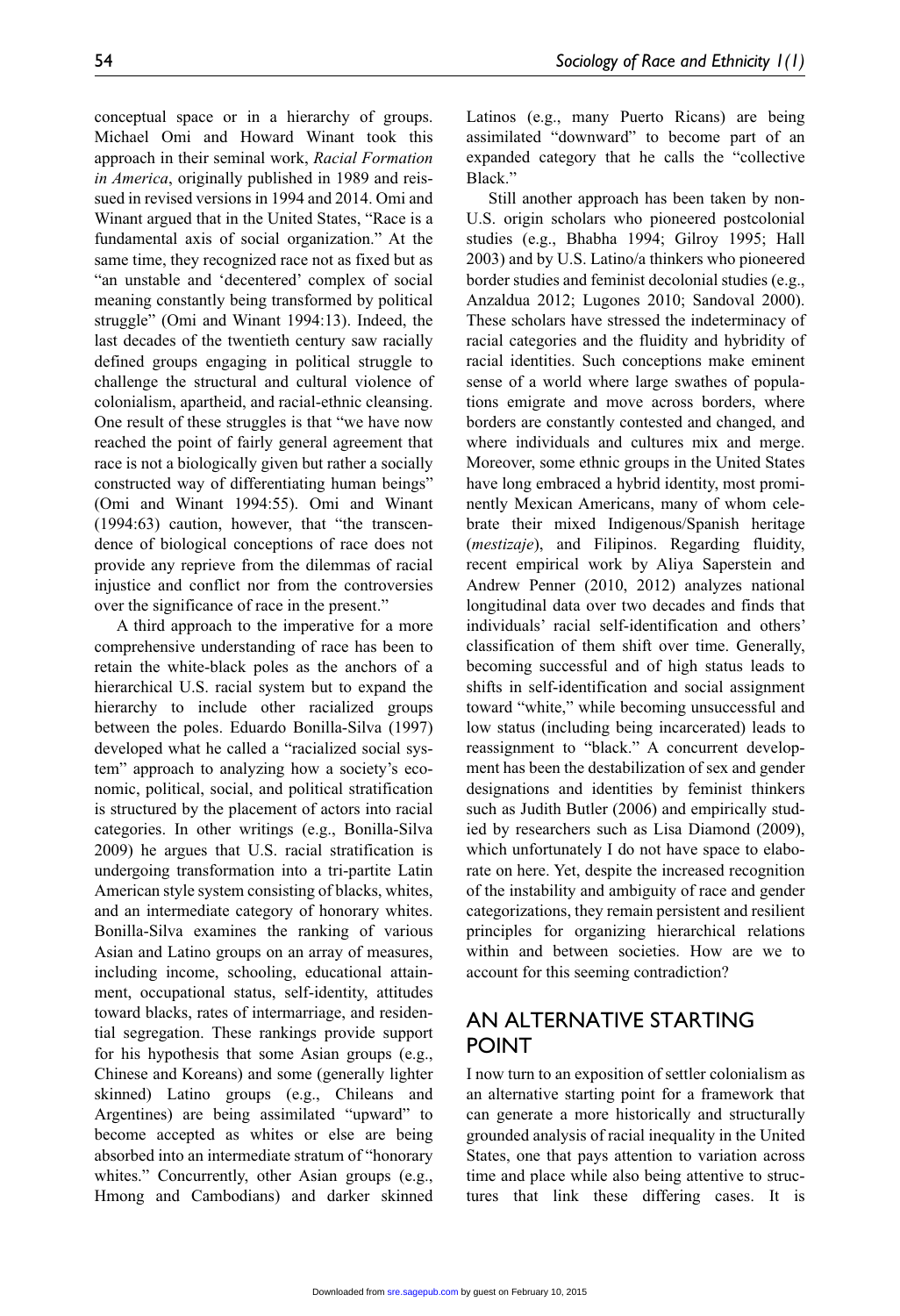conceptual space or in a hierarchy of groups. Michael Omi and Howard Winant took this approach in their seminal work, *Racial Formation in America*, originally published in 1989 and reissued in revised versions in 1994 and 2014. Omi and Winant argued that in the United States, "Race is a fundamental axis of social organization." At the same time, they recognized race not as fixed but as "an unstable and 'decentered' complex of social meaning constantly being transformed by political struggle" (Omi and Winant 1994:13). Indeed, the last decades of the twentieth century saw racially defined groups engaging in political struggle to challenge the structural and cultural violence of colonialism, apartheid, and racial-ethnic cleansing. One result of these struggles is that "we have now reached the point of fairly general agreement that race is not a biologically given but rather a socially constructed way of differentiating human beings" (Omi and Winant 1994:55). Omi and Winant (1994:63) caution, however, that "the transcendence of biological conceptions of race does not provide any reprieve from the dilemmas of racial injustice and conflict nor from the controversies over the significance of race in the present."

A third approach to the imperative for a more comprehensive understanding of race has been to retain the white-black poles as the anchors of a hierarchical U.S. racial system but to expand the hierarchy to include other racialized groups between the poles. Eduardo Bonilla-Silva (1997) developed what he called a "racialized social system" approach to analyzing how a society's economic, political, social, and political stratification is structured by the placement of actors into racial categories. In other writings (e.g., Bonilla-Silva 2009) he argues that U.S. racial stratification is undergoing transformation into a tri-partite Latin American style system consisting of blacks, whites, and an intermediate category of honorary whites. Bonilla-Silva examines the ranking of various Asian and Latino groups on an array of measures, including income, schooling, educational attainment, occupational status, self-identity, attitudes toward blacks, rates of intermarriage, and residential segregation. These rankings provide support for his hypothesis that some Asian groups (e.g., Chinese and Koreans) and some (generally lighter skinned) Latino groups (e.g., Chileans and Argentines) are being assimilated "upward" to become accepted as whites or else are being absorbed into an intermediate stratum of "honorary whites." Concurrently, other Asian groups (e.g., Hmong and Cambodians) and darker skinned Latinos (e.g., many Puerto Ricans) are being assimilated "downward" to become part of an expanded category that he calls the "collective Black."

Still another approach has been taken by non-U.S. origin scholars who pioneered postcolonial studies (e.g., Bhabha 1994; Gilroy 1995; Hall 2003) and by U.S. Latino/a thinkers who pioneered border studies and feminist decolonial studies (e.g., Anzaldua 2012; Lugones 2010; Sandoval 2000). These scholars have stressed the indeterminacy of racial categories and the fluidity and hybridity of racial identities. Such conceptions make eminent sense of a world where large swathes of populations emigrate and move across borders, where borders are constantly contested and changed, and where individuals and cultures mix and merge. Moreover, some ethnic groups in the United States have long embraced a hybrid identity, most prominently Mexican Americans, many of whom celebrate their mixed Indigenous/Spanish heritage (*mestizaje*), and Filipinos. Regarding fluidity, recent empirical work by Aliya Saperstein and Andrew Penner (2010, 2012) analyzes national longitudinal data over two decades and finds that individuals' racial self-identification and others' classification of them shift over time. Generally, becoming successful and of high status leads to shifts in self-identification and social assignment toward "white," while becoming unsuccessful and low status (including being incarcerated) leads to reassignment to "black." A concurrent development has been the destabilization of sex and gender designations and identities by feminist thinkers such as Judith Butler (2006) and empirically studied by researchers such as Lisa Diamond (2009), which unfortunately I do not have space to elaborate on here. Yet, despite the increased recognition of the instability and ambiguity of race and gender categorizations, they remain persistent and resilient principles for organizing hierarchical relations within and between societies. How are we to account for this seeming contradiction?

# An Alternative Starting **POINT**

I now turn to an exposition of settler colonialism as an alternative starting point for a framework that can generate a more historically and structurally grounded analysis of racial inequality in the United States, one that pays attention to variation across time and place while also being attentive to structures that link these differing cases. It is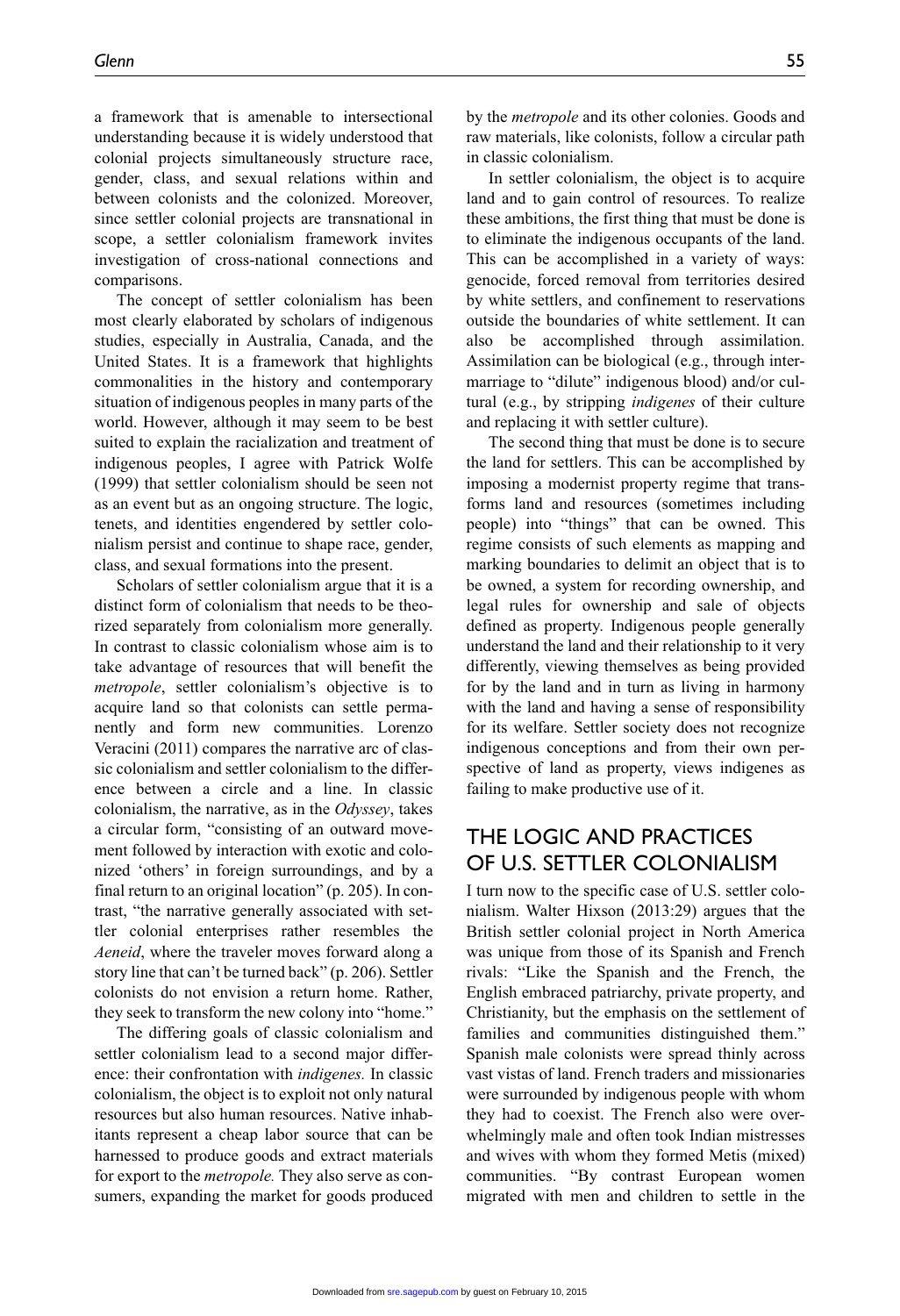a framework that is amenable to intersectional understanding because it is widely understood that colonial projects simultaneously structure race, gender, class, and sexual relations within and between colonists and the colonized. Moreover, since settler colonial projects are transnational in scope, a settler colonialism framework invites investigation of cross-national connections and comparisons.

The concept of settler colonialism has been most clearly elaborated by scholars of indigenous studies, especially in Australia, Canada, and the United States. It is a framework that highlights commonalities in the history and contemporary situation of indigenous peoples in many parts of the world. However, although it may seem to be best suited to explain the racialization and treatment of indigenous peoples, I agree with Patrick Wolfe (1999) that settler colonialism should be seen not as an event but as an ongoing structure. The logic, tenets, and identities engendered by settler colonialism persist and continue to shape race, gender, class, and sexual formations into the present.

Scholars of settler colonialism argue that it is a distinct form of colonialism that needs to be theorized separately from colonialism more generally. In contrast to classic colonialism whose aim is to take advantage of resources that will benefit the *metropole*, settler colonialism's objective is to acquire land so that colonists can settle permanently and form new communities. Lorenzo Veracini (2011) compares the narrative arc of classic colonialism and settler colonialism to the difference between a circle and a line. In classic colonialism, the narrative, as in the *Odyssey*, takes a circular form, "consisting of an outward movement followed by interaction with exotic and colonized 'others' in foreign surroundings, and by a final return to an original location" (p. 205). In contrast, "the narrative generally associated with settler colonial enterprises rather resembles the *Aeneid*, where the traveler moves forward along a story line that can't be turned back" (p. 206). Settler colonists do not envision a return home. Rather, they seek to transform the new colony into "home."

The differing goals of classic colonialism and settler colonialism lead to a second major difference: their confrontation with *indigenes.* In classic colonialism, the object is to exploit not only natural resources but also human resources. Native inhabitants represent a cheap labor source that can be harnessed to produce goods and extract materials for export to the *metropole.* They also serve as consumers, expanding the market for goods produced by the *metropole* and its other colonies. Goods and raw materials, like colonists, follow a circular path in classic colonialism.

In settler colonialism, the object is to acquire land and to gain control of resources. To realize these ambitions, the first thing that must be done is to eliminate the indigenous occupants of the land. This can be accomplished in a variety of ways: genocide, forced removal from territories desired by white settlers, and confinement to reservations outside the boundaries of white settlement. It can also be accomplished through assimilation. Assimilation can be biological (e.g., through intermarriage to "dilute" indigenous blood) and/or cultural (e.g., by stripping *indigenes* of their culture and replacing it with settler culture).

The second thing that must be done is to secure the land for settlers. This can be accomplished by imposing a modernist property regime that transforms land and resources (sometimes including people) into "things" that can be owned. This regime consists of such elements as mapping and marking boundaries to delimit an object that is to be owned, a system for recording ownership, and legal rules for ownership and sale of objects defined as property. Indigenous people generally understand the land and their relationship to it very differently, viewing themselves as being provided for by the land and in turn as living in harmony with the land and having a sense of responsibility for its welfare. Settler society does not recognize indigenous conceptions and from their own perspective of land as property, views indigenes as failing to make productive use of it.

### The Logic and Practices of U.S. Settler Colonialism

I turn now to the specific case of U.S. settler colonialism. Walter Hixson (2013:29) argues that the British settler colonial project in North America was unique from those of its Spanish and French rivals: "Like the Spanish and the French, the English embraced patriarchy, private property, and Christianity, but the emphasis on the settlement of families and communities distinguished them." Spanish male colonists were spread thinly across vast vistas of land. French traders and missionaries were surrounded by indigenous people with whom they had to coexist. The French also were overwhelmingly male and often took Indian mistresses and wives with whom they formed Metis (mixed) communities. "By contrast European women migrated with men and children to settle in the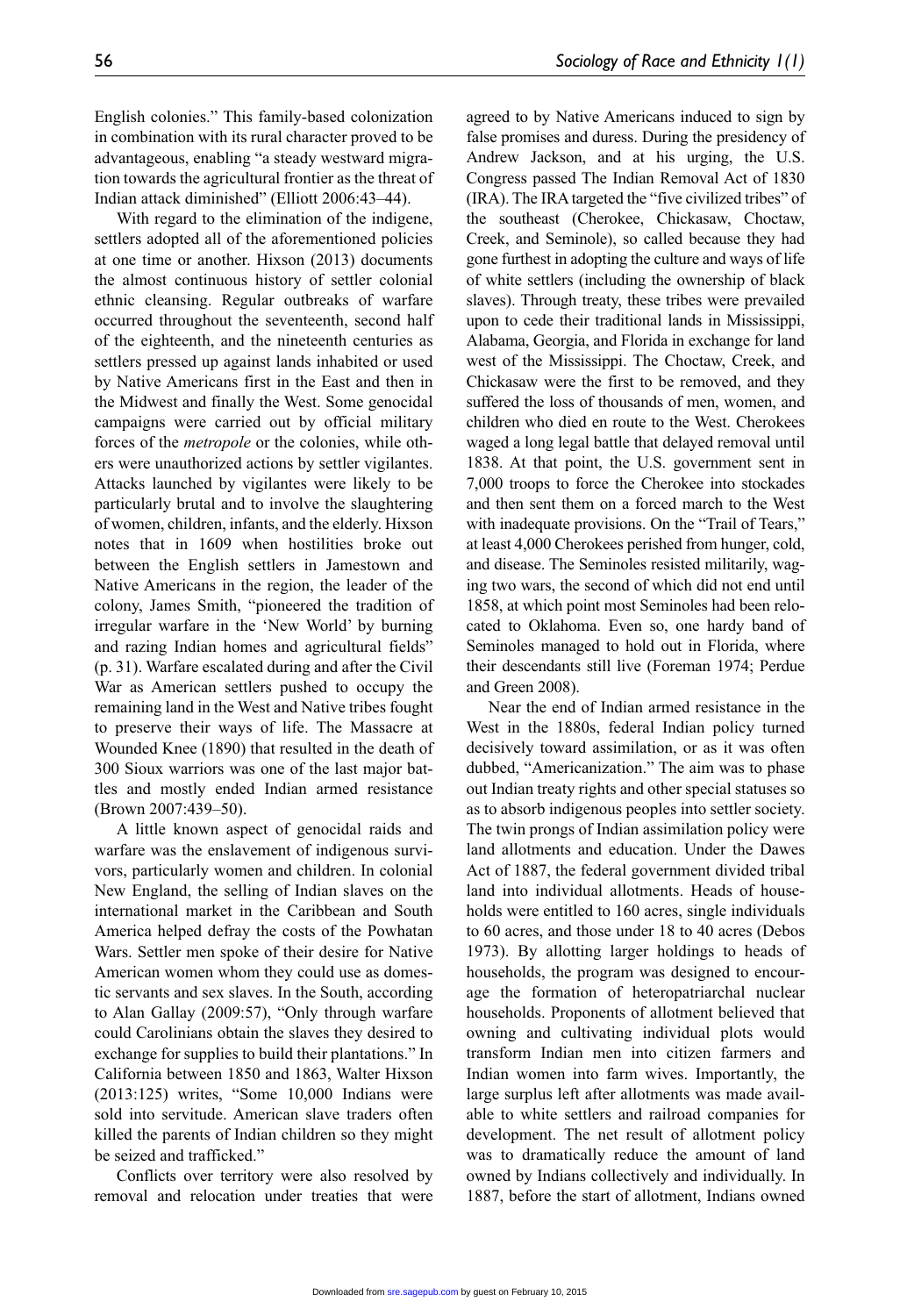English colonies." This family-based colonization in combination with its rural character proved to be advantageous, enabling "a steady westward migration towards the agricultural frontier as the threat of Indian attack diminished" (Elliott 2006:43–44).

With regard to the elimination of the indigene, settlers adopted all of the aforementioned policies at one time or another. Hixson (2013) documents the almost continuous history of settler colonial ethnic cleansing. Regular outbreaks of warfare occurred throughout the seventeenth, second half of the eighteenth, and the nineteenth centuries as settlers pressed up against lands inhabited or used by Native Americans first in the East and then in the Midwest and finally the West. Some genocidal campaigns were carried out by official military forces of the *metropole* or the colonies, while others were unauthorized actions by settler vigilantes. Attacks launched by vigilantes were likely to be particularly brutal and to involve the slaughtering of women, children, infants, and the elderly. Hixson notes that in 1609 when hostilities broke out between the English settlers in Jamestown and Native Americans in the region, the leader of the colony, James Smith, "pioneered the tradition of irregular warfare in the 'New World' by burning and razing Indian homes and agricultural fields" (p. 31). Warfare escalated during and after the Civil War as American settlers pushed to occupy the remaining land in the West and Native tribes fought to preserve their ways of life. The Massacre at Wounded Knee (1890) that resulted in the death of 300 Sioux warriors was one of the last major battles and mostly ended Indian armed resistance (Brown 2007:439–50).

A little known aspect of genocidal raids and warfare was the enslavement of indigenous survivors, particularly women and children. In colonial New England, the selling of Indian slaves on the international market in the Caribbean and South America helped defray the costs of the Powhatan Wars. Settler men spoke of their desire for Native American women whom they could use as domestic servants and sex slaves. In the South, according to Alan Gallay (2009:57), "Only through warfare could Carolinians obtain the slaves they desired to exchange for supplies to build their plantations." In California between 1850 and 1863, Walter Hixson (2013:125) writes, "Some 10,000 Indians were sold into servitude. American slave traders often killed the parents of Indian children so they might be seized and trafficked."

Conflicts over territory were also resolved by removal and relocation under treaties that were agreed to by Native Americans induced to sign by false promises and duress. During the presidency of Andrew Jackson, and at his urging, the U.S. Congress passed The Indian Removal Act of 1830 (IRA). The IRA targeted the "five civilized tribes" of the southeast (Cherokee, Chickasaw, Choctaw, Creek, and Seminole), so called because they had gone furthest in adopting the culture and ways of life of white settlers (including the ownership of black slaves). Through treaty, these tribes were prevailed upon to cede their traditional lands in Mississippi, Alabama, Georgia, and Florida in exchange for land west of the Mississippi. The Choctaw, Creek, and Chickasaw were the first to be removed, and they suffered the loss of thousands of men, women, and children who died en route to the West. Cherokees waged a long legal battle that delayed removal until 1838. At that point, the U.S. government sent in 7,000 troops to force the Cherokee into stockades and then sent them on a forced march to the West with inadequate provisions. On the "Trail of Tears," at least 4,000 Cherokees perished from hunger, cold, and disease. The Seminoles resisted militarily, waging two wars, the second of which did not end until 1858, at which point most Seminoles had been relocated to Oklahoma. Even so, one hardy band of Seminoles managed to hold out in Florida, where their descendants still live (Foreman 1974; Perdue and Green 2008).

Near the end of Indian armed resistance in the West in the 1880s, federal Indian policy turned decisively toward assimilation, or as it was often dubbed, "Americanization." The aim was to phase out Indian treaty rights and other special statuses so as to absorb indigenous peoples into settler society. The twin prongs of Indian assimilation policy were land allotments and education. Under the Dawes Act of 1887, the federal government divided tribal land into individual allotments. Heads of households were entitled to 160 acres, single individuals to 60 acres, and those under 18 to 40 acres (Debos 1973). By allotting larger holdings to heads of households, the program was designed to encourage the formation of heteropatriarchal nuclear households. Proponents of allotment believed that owning and cultivating individual plots would transform Indian men into citizen farmers and Indian women into farm wives. Importantly, the large surplus left after allotments was made available to white settlers and railroad companies for development. The net result of allotment policy was to dramatically reduce the amount of land owned by Indians collectively and individually. In 1887, before the start of allotment, Indians owned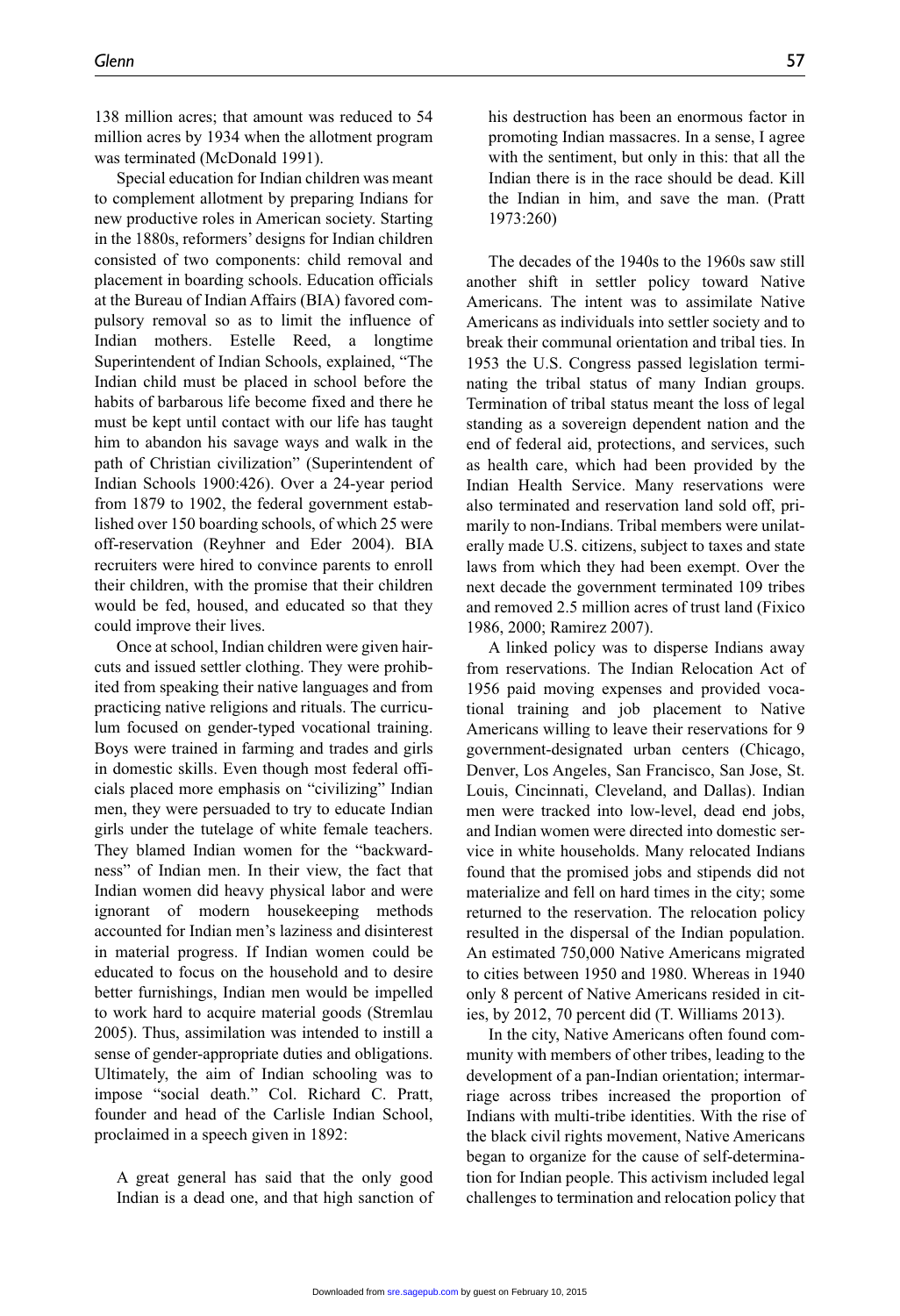138 million acres; that amount was reduced to 54 million acres by 1934 when the allotment program was terminated (McDonald 1991).

Special education for Indian children was meant to complement allotment by preparing Indians for new productive roles in American society. Starting in the 1880s, reformers' designs for Indian children consisted of two components: child removal and placement in boarding schools. Education officials at the Bureau of Indian Affairs (BIA) favored compulsory removal so as to limit the influence of Indian mothers. Estelle Reed, a longtime Superintendent of Indian Schools, explained, "The Indian child must be placed in school before the habits of barbarous life become fixed and there he must be kept until contact with our life has taught him to abandon his savage ways and walk in the path of Christian civilization" (Superintendent of Indian Schools 1900:426). Over a 24-year period from 1879 to 1902, the federal government established over 150 boarding schools, of which 25 were off-reservation (Reyhner and Eder 2004). BIA recruiters were hired to convince parents to enroll their children, with the promise that their children would be fed, housed, and educated so that they could improve their lives.

Once at school, Indian children were given haircuts and issued settler clothing. They were prohibited from speaking their native languages and from practicing native religions and rituals. The curriculum focused on gender-typed vocational training. Boys were trained in farming and trades and girls in domestic skills. Even though most federal officials placed more emphasis on "civilizing" Indian men, they were persuaded to try to educate Indian girls under the tutelage of white female teachers. They blamed Indian women for the "backwardness" of Indian men. In their view, the fact that Indian women did heavy physical labor and were ignorant of modern housekeeping methods accounted for Indian men's laziness and disinterest in material progress. If Indian women could be educated to focus on the household and to desire better furnishings, Indian men would be impelled to work hard to acquire material goods (Stremlau 2005). Thus, assimilation was intended to instill a sense of gender-appropriate duties and obligations. Ultimately, the aim of Indian schooling was to impose "social death." Col. Richard C. Pratt, founder and head of the Carlisle Indian School, proclaimed in a speech given in 1892:

A great general has said that the only good Indian is a dead one, and that high sanction of his destruction has been an enormous factor in promoting Indian massacres. In a sense, I agree with the sentiment, but only in this: that all the Indian there is in the race should be dead. Kill the Indian in him, and save the man. (Pratt 1973:260)

The decades of the 1940s to the 1960s saw still another shift in settler policy toward Native Americans. The intent was to assimilate Native Americans as individuals into settler society and to break their communal orientation and tribal ties. In 1953 the U.S. Congress passed legislation terminating the tribal status of many Indian groups. Termination of tribal status meant the loss of legal standing as a sovereign dependent nation and the end of federal aid, protections, and services, such as health care, which had been provided by the Indian Health Service. Many reservations were also terminated and reservation land sold off, primarily to non-Indians. Tribal members were unilaterally made U.S. citizens, subject to taxes and state laws from which they had been exempt. Over the next decade the government terminated 109 tribes and removed 2.5 million acres of trust land (Fixico 1986, 2000; Ramirez 2007).

A linked policy was to disperse Indians away from reservations. The Indian Relocation Act of 1956 paid moving expenses and provided vocational training and job placement to Native Americans willing to leave their reservations for 9 government-designated urban centers (Chicago, Denver, Los Angeles, San Francisco, San Jose, St. Louis, Cincinnati, Cleveland, and Dallas). Indian men were tracked into low-level, dead end jobs, and Indian women were directed into domestic service in white households. Many relocated Indians found that the promised jobs and stipends did not materialize and fell on hard times in the city; some returned to the reservation. The relocation policy resulted in the dispersal of the Indian population. An estimated 750,000 Native Americans migrated to cities between 1950 and 1980. Whereas in 1940 only 8 percent of Native Americans resided in cities, by 2012, 70 percent did (T. Williams 2013).

In the city, Native Americans often found community with members of other tribes, leading to the development of a pan-Indian orientation; intermarriage across tribes increased the proportion of Indians with multi-tribe identities. With the rise of the black civil rights movement, Native Americans began to organize for the cause of self-determination for Indian people. This activism included legal challenges to termination and relocation policy that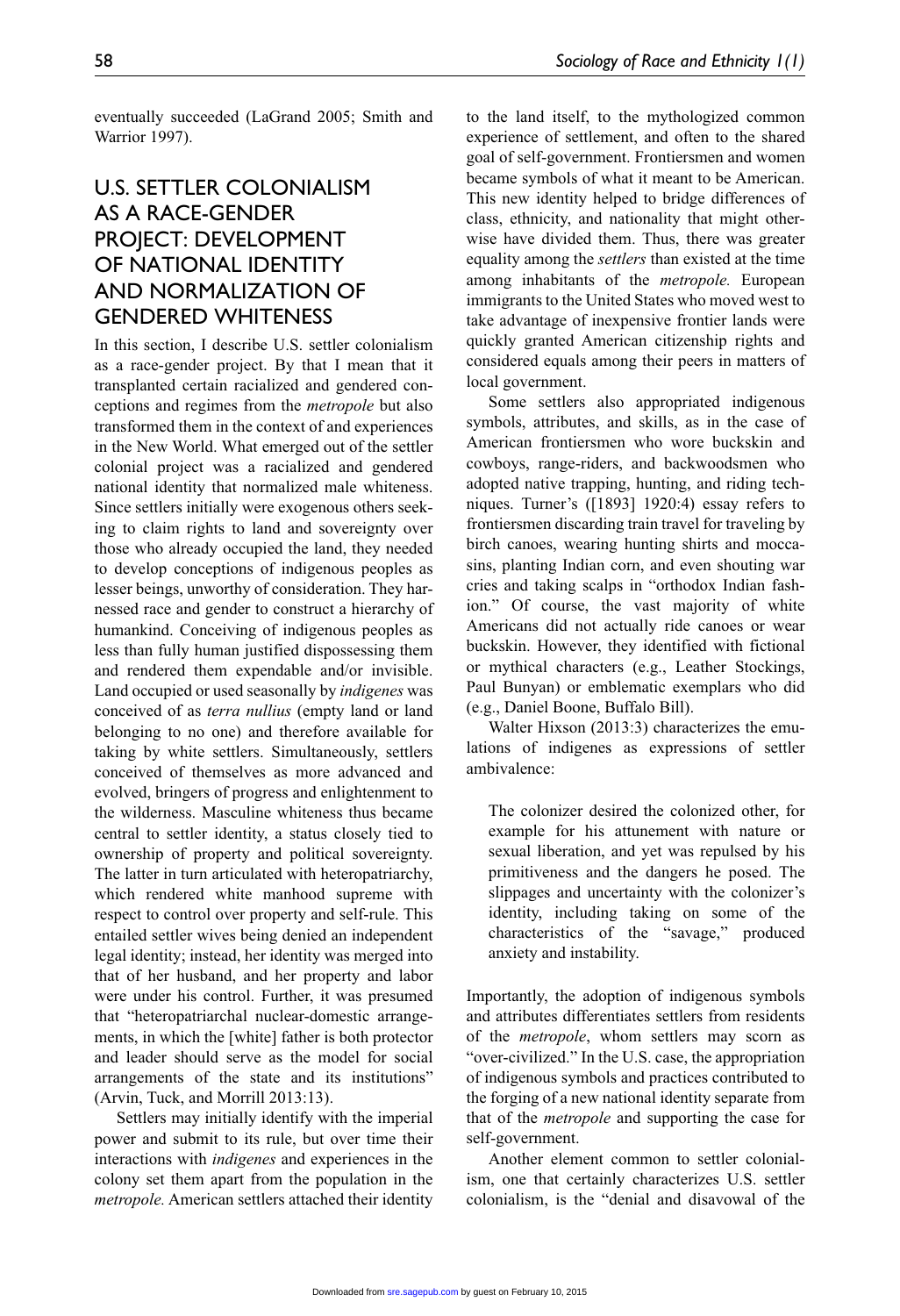eventually succeeded (LaGrand 2005; Smith and Warrior 1997).

# U.S. SETTI FR COLONIALISM as a Race-Gender Project: Development of National Identity and Normalization of Gendered Whiteness

In this section, I describe U.S. settler colonialism as a race-gender project. By that I mean that it transplanted certain racialized and gendered conceptions and regimes from the *metropole* but also transformed them in the context of and experiences in the New World. What emerged out of the settler colonial project was a racialized and gendered national identity that normalized male whiteness. Since settlers initially were exogenous others seeking to claim rights to land and sovereignty over those who already occupied the land, they needed to develop conceptions of indigenous peoples as lesser beings, unworthy of consideration. They harnessed race and gender to construct a hierarchy of humankind. Conceiving of indigenous peoples as less than fully human justified dispossessing them and rendered them expendable and/or invisible. Land occupied or used seasonally by *indigenes* was conceived of as *terra nullius* (empty land or land belonging to no one) and therefore available for taking by white settlers. Simultaneously, settlers conceived of themselves as more advanced and evolved, bringers of progress and enlightenment to the wilderness. Masculine whiteness thus became central to settler identity, a status closely tied to ownership of property and political sovereignty. The latter in turn articulated with heteropatriarchy, which rendered white manhood supreme with respect to control over property and self-rule. This entailed settler wives being denied an independent legal identity; instead, her identity was merged into that of her husband, and her property and labor were under his control. Further, it was presumed that "heteropatriarchal nuclear-domestic arrangements, in which the [white] father is both protector and leader should serve as the model for social arrangements of the state and its institutions" (Arvin, Tuck, and Morrill 2013:13).

Settlers may initially identify with the imperial power and submit to its rule, but over time their interactions with *indigenes* and experiences in the colony set them apart from the population in the *metropole.* American settlers attached their identity to the land itself, to the mythologized common experience of settlement, and often to the shared goal of self-government. Frontiersmen and women became symbols of what it meant to be American. This new identity helped to bridge differences of class, ethnicity, and nationality that might otherwise have divided them. Thus, there was greater equality among the *settlers* than existed at the time among inhabitants of the *metropole.* European immigrants to the United States who moved west to take advantage of inexpensive frontier lands were quickly granted American citizenship rights and considered equals among their peers in matters of local government.

Some settlers also appropriated indigenous symbols, attributes, and skills, as in the case of American frontiersmen who wore buckskin and cowboys, range-riders, and backwoodsmen who adopted native trapping, hunting, and riding techniques. Turner's ([1893] 1920:4) essay refers to frontiersmen discarding train travel for traveling by birch canoes, wearing hunting shirts and moccasins, planting Indian corn, and even shouting war cries and taking scalps in "orthodox Indian fashion." Of course, the vast majority of white Americans did not actually ride canoes or wear buckskin. However, they identified with fictional or mythical characters (e.g., Leather Stockings, Paul Bunyan) or emblematic exemplars who did (e.g., Daniel Boone, Buffalo Bill).

Walter Hixson (2013:3) characterizes the emulations of indigenes as expressions of settler ambivalence:

The colonizer desired the colonized other, for example for his attunement with nature or sexual liberation, and yet was repulsed by his primitiveness and the dangers he posed. The slippages and uncertainty with the colonizer's identity, including taking on some of the characteristics of the "savage," produced anxiety and instability.

Importantly, the adoption of indigenous symbols and attributes differentiates settlers from residents of the *metropole*, whom settlers may scorn as "over-civilized." In the U.S. case, the appropriation of indigenous symbols and practices contributed to the forging of a new national identity separate from that of the *metropole* and supporting the case for self-government.

Another element common to settler colonialism, one that certainly characterizes U.S. settler colonialism, is the "denial and disavowal of the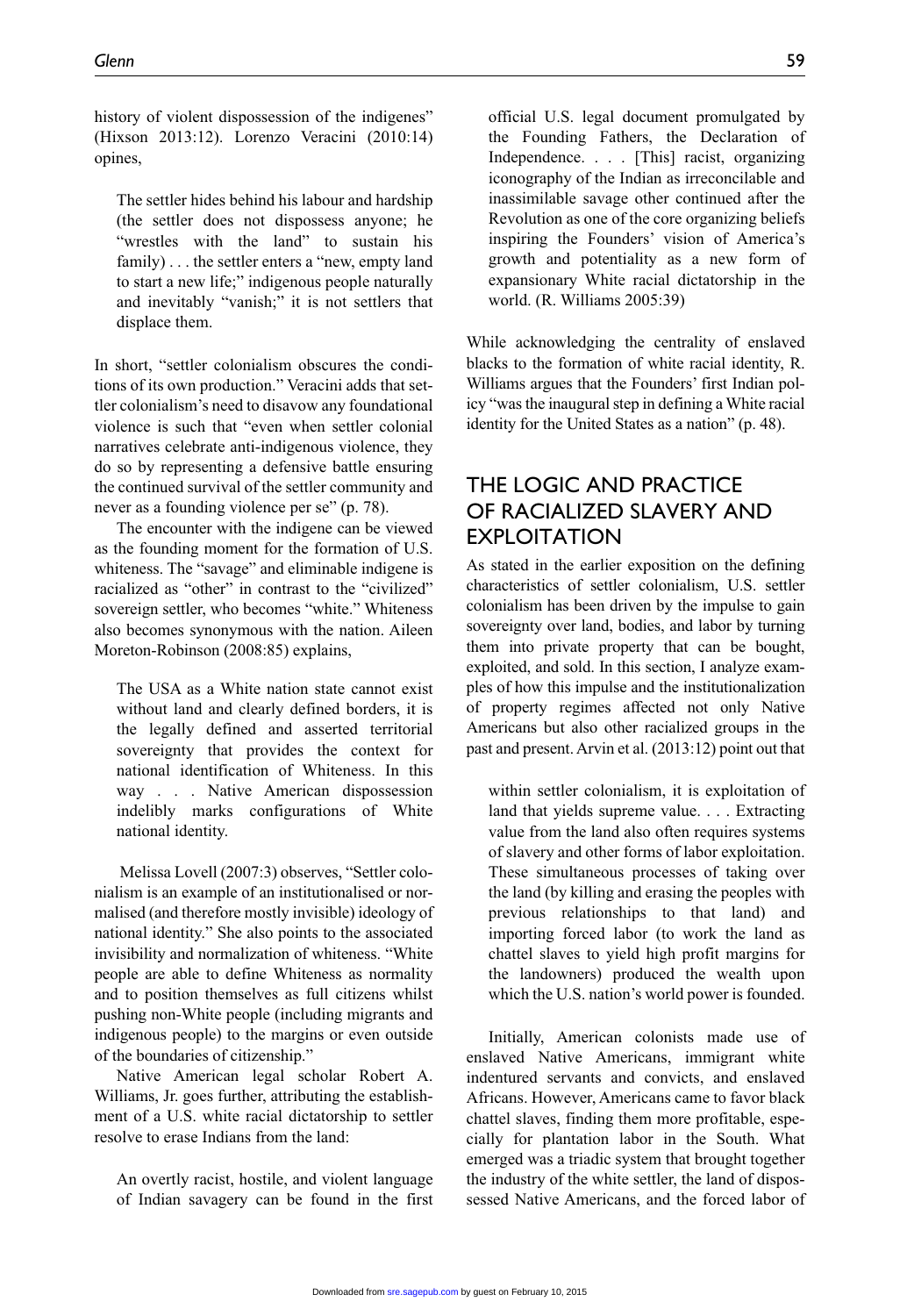history of violent dispossession of the indigenes" (Hixson 2013:12). Lorenzo Veracini (2010:14) opines,

The settler hides behind his labour and hardship (the settler does not dispossess anyone; he "wrestles with the land" to sustain his family) . . . the settler enters a "new, empty land to start a new life;" indigenous people naturally and inevitably "vanish;" it is not settlers that displace them.

In short, "settler colonialism obscures the conditions of its own production." Veracini adds that settler colonialism's need to disavow any foundational violence is such that "even when settler colonial narratives celebrate anti-indigenous violence, they do so by representing a defensive battle ensuring the continued survival of the settler community and never as a founding violence per se" (p. 78).

The encounter with the indigene can be viewed as the founding moment for the formation of U.S. whiteness. The "savage" and eliminable indigene is racialized as "other" in contrast to the "civilized" sovereign settler, who becomes "white." Whiteness also becomes synonymous with the nation. Aileen Moreton-Robinson (2008:85) explains,

The USA as a White nation state cannot exist without land and clearly defined borders, it is the legally defined and asserted territorial sovereignty that provides the context for national identification of Whiteness. In this way . . . Native American dispossession indelibly marks configurations of White national identity.

 Melissa Lovell (2007:3) observes, "Settler colonialism is an example of an institutionalised or normalised (and therefore mostly invisible) ideology of national identity." She also points to the associated invisibility and normalization of whiteness. "White people are able to define Whiteness as normality and to position themselves as full citizens whilst pushing non-White people (including migrants and indigenous people) to the margins or even outside of the boundaries of citizenship."

Native American legal scholar Robert A. Williams, Jr. goes further, attributing the establishment of a U.S. white racial dictatorship to settler resolve to erase Indians from the land:

An overtly racist, hostile, and violent language of Indian savagery can be found in the first official U.S. legal document promulgated by the Founding Fathers, the Declaration of Independence. . . . [This] racist, organizing iconography of the Indian as irreconcilable and inassimilable savage other continued after the Revolution as one of the core organizing beliefs inspiring the Founders' vision of America's growth and potentiality as a new form of expansionary White racial dictatorship in the world. (R. Williams 2005:39)

While acknowledging the centrality of enslaved blacks to the formation of white racial identity, R. Williams argues that the Founders' first Indian policy "was the inaugural step in defining a White racial identity for the United States as a nation" (p. 48).

### The Logic and Practice of Racialized Slavery and **EXPLOITATION**

As stated in the earlier exposition on the defining characteristics of settler colonialism, U.S. settler colonialism has been driven by the impulse to gain sovereignty over land, bodies, and labor by turning them into private property that can be bought, exploited, and sold. In this section, I analyze examples of how this impulse and the institutionalization of property regimes affected not only Native Americans but also other racialized groups in the past and present. Arvin et al. (2013:12) point out that

within settler colonialism, it is exploitation of land that yields supreme value. . . . Extracting value from the land also often requires systems of slavery and other forms of labor exploitation. These simultaneous processes of taking over the land (by killing and erasing the peoples with previous relationships to that land) and importing forced labor (to work the land as chattel slaves to yield high profit margins for the landowners) produced the wealth upon which the U.S. nation's world power is founded.

Initially, American colonists made use of enslaved Native Americans, immigrant white indentured servants and convicts, and enslaved Africans. However, Americans came to favor black chattel slaves, finding them more profitable, especially for plantation labor in the South. What emerged was a triadic system that brought together the industry of the white settler, the land of dispossessed Native Americans, and the forced labor of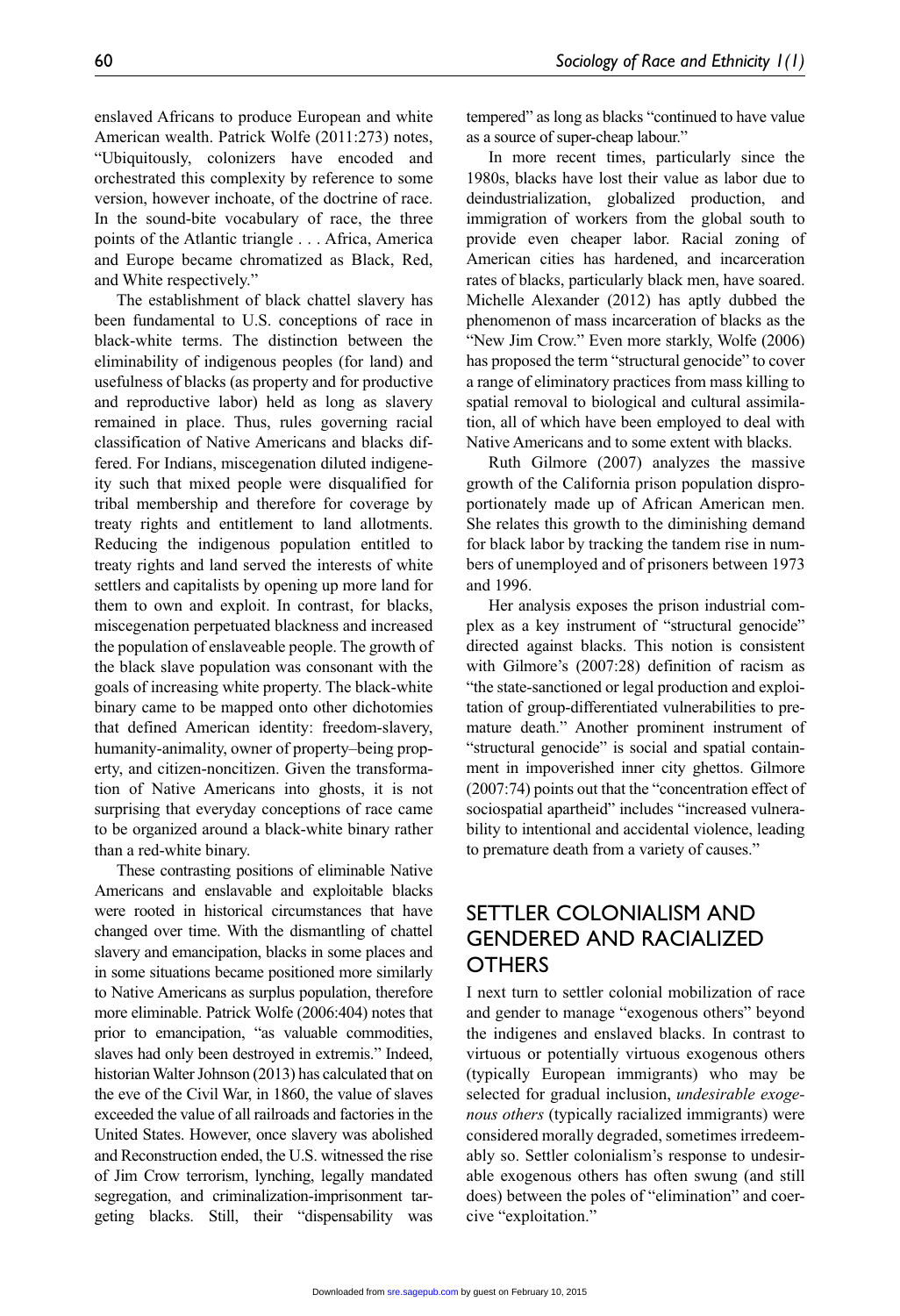enslaved Africans to produce European and white American wealth. Patrick Wolfe (2011:273) notes, "Ubiquitously, colonizers have encoded and orchestrated this complexity by reference to some version, however inchoate, of the doctrine of race. In the sound-bite vocabulary of race, the three points of the Atlantic triangle . . . Africa, America and Europe became chromatized as Black, Red, and White respectively."

The establishment of black chattel slavery has been fundamental to U.S. conceptions of race in black-white terms. The distinction between the eliminability of indigenous peoples (for land) and usefulness of blacks (as property and for productive and reproductive labor) held as long as slavery remained in place. Thus, rules governing racial classification of Native Americans and blacks differed. For Indians, miscegenation diluted indigeneity such that mixed people were disqualified for tribal membership and therefore for coverage by treaty rights and entitlement to land allotments. Reducing the indigenous population entitled to treaty rights and land served the interests of white settlers and capitalists by opening up more land for them to own and exploit. In contrast, for blacks, miscegenation perpetuated blackness and increased the population of enslaveable people. The growth of the black slave population was consonant with the goals of increasing white property. The black-white binary came to be mapped onto other dichotomies that defined American identity: freedom-slavery, humanity-animality, owner of property–being property, and citizen-noncitizen. Given the transformation of Native Americans into ghosts, it is not surprising that everyday conceptions of race came to be organized around a black-white binary rather than a red-white binary.

These contrasting positions of eliminable Native Americans and enslavable and exploitable blacks were rooted in historical circumstances that have changed over time. With the dismantling of chattel slavery and emancipation, blacks in some places and in some situations became positioned more similarly to Native Americans as surplus population, therefore more eliminable. Patrick Wolfe (2006:404) notes that prior to emancipation, "as valuable commodities, slaves had only been destroyed in extremis." Indeed, historian Walter Johnson (2013) has calculated that on the eve of the Civil War, in 1860, the value of slaves exceeded the value of all railroads and factories in the United States. However, once slavery was abolished and Reconstruction ended, the U.S. witnessed the rise of Jim Crow terrorism, lynching, legally mandated segregation, and criminalization-imprisonment targeting blacks. Still, their "dispensability was tempered" as long as blacks "continued to have value as a source of super-cheap labour."

In more recent times, particularly since the 1980s, blacks have lost their value as labor due to deindustrialization, globalized production, and immigration of workers from the global south to provide even cheaper labor. Racial zoning of American cities has hardened, and incarceration rates of blacks, particularly black men, have soared. Michelle Alexander (2012) has aptly dubbed the phenomenon of mass incarceration of blacks as the "New Jim Crow." Even more starkly, Wolfe (2006) has proposed the term "structural genocide" to cover a range of eliminatory practices from mass killing to spatial removal to biological and cultural assimilation, all of which have been employed to deal with Native Americans and to some extent with blacks.

Ruth Gilmore (2007) analyzes the massive growth of the California prison population disproportionately made up of African American men. She relates this growth to the diminishing demand for black labor by tracking the tandem rise in numbers of unemployed and of prisoners between 1973 and 1996.

Her analysis exposes the prison industrial complex as a key instrument of "structural genocide" directed against blacks. This notion is consistent with Gilmore's (2007:28) definition of racism as "the state-sanctioned or legal production and exploitation of group-differentiated vulnerabilities to premature death." Another prominent instrument of "structural genocide" is social and spatial containment in impoverished inner city ghettos. Gilmore (2007:74) points out that the "concentration effect of sociospatial apartheid" includes "increased vulnerability to intentional and accidental violence, leading to premature death from a variety of causes."

### Settler Colonialism and Gendered and Racialized **OTHERS**

I next turn to settler colonial mobilization of race and gender to manage "exogenous others" beyond the indigenes and enslaved blacks. In contrast to virtuous or potentially virtuous exogenous others (typically European immigrants) who may be selected for gradual inclusion, *undesirable exogenous others* (typically racialized immigrants) were considered morally degraded, sometimes irredeemably so. Settler colonialism's response to undesirable exogenous others has often swung (and still does) between the poles of "elimination" and coercive "exploitation."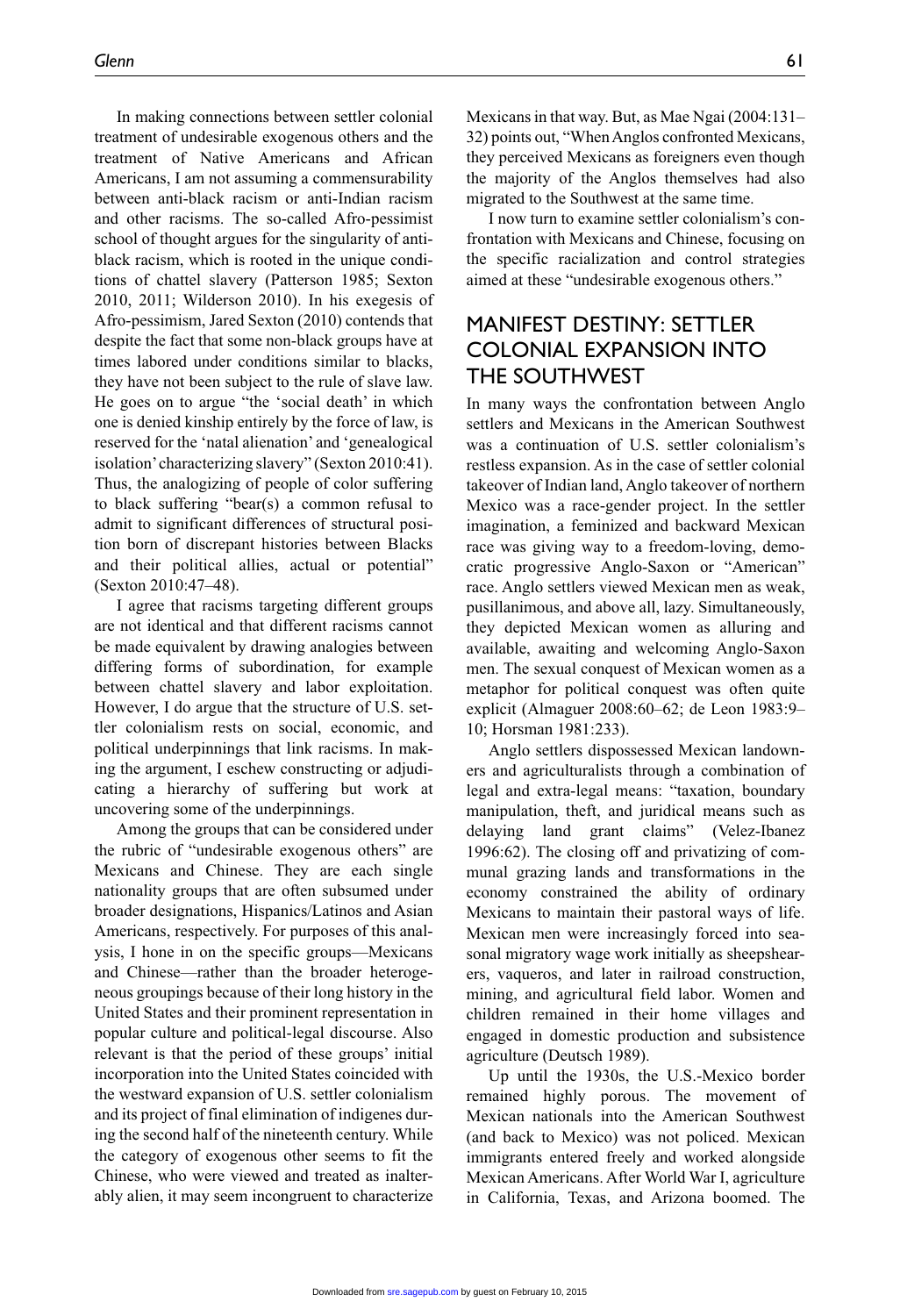In making connections between settler colonial treatment of undesirable exogenous others and the treatment of Native Americans and African Americans, I am not assuming a commensurability between anti-black racism or anti-Indian racism and other racisms. The so-called Afro-pessimist school of thought argues for the singularity of antiblack racism, which is rooted in the unique conditions of chattel slavery (Patterson 1985; Sexton 2010, 2011; Wilderson 2010). In his exegesis of Afro-pessimism, Jared Sexton (2010) contends that despite the fact that some non-black groups have at times labored under conditions similar to blacks, they have not been subject to the rule of slave law. He goes on to argue "the 'social death' in which one is denied kinship entirely by the force of law, is reserved for the 'natal alienation' and 'genealogical isolation' characterizing slavery" (Sexton 2010:41). Thus, the analogizing of people of color suffering to black suffering "bear(s) a common refusal to admit to significant differences of structural position born of discrepant histories between Blacks and their political allies, actual or potential" (Sexton 2010:47–48).

I agree that racisms targeting different groups are not identical and that different racisms cannot be made equivalent by drawing analogies between differing forms of subordination, for example between chattel slavery and labor exploitation. However, I do argue that the structure of U.S. settler colonialism rests on social, economic, and political underpinnings that link racisms. In making the argument, I eschew constructing or adjudicating a hierarchy of suffering but work at uncovering some of the underpinnings.

Among the groups that can be considered under the rubric of "undesirable exogenous others" are Mexicans and Chinese. They are each single nationality groups that are often subsumed under broader designations, Hispanics/Latinos and Asian Americans, respectively. For purposes of this analysis, I hone in on the specific groups—Mexicans and Chinese—rather than the broader heterogeneous groupings because of their long history in the United States and their prominent representation in popular culture and political-legal discourse. Also relevant is that the period of these groups' initial incorporation into the United States coincided with the westward expansion of U.S. settler colonialism and its project of final elimination of indigenes during the second half of the nineteenth century. While the category of exogenous other seems to fit the Chinese, who were viewed and treated as inalterably alien, it may seem incongruent to characterize Mexicans in that way. But, as Mae Ngai (2004:131– 32) points out, "When Anglos confronted Mexicans, they perceived Mexicans as foreigners even though the majority of the Anglos themselves had also migrated to the Southwest at the same time.

I now turn to examine settler colonialism's confrontation with Mexicans and Chinese, focusing on the specific racialization and control strategies aimed at these "undesirable exogenous others."

### Manifest Destiny: Settler Colonial Expansion into the Southwest

In many ways the confrontation between Anglo settlers and Mexicans in the American Southwest was a continuation of U.S. settler colonialism's restless expansion. As in the case of settler colonial takeover of Indian land, Anglo takeover of northern Mexico was a race-gender project. In the settler imagination, a feminized and backward Mexican race was giving way to a freedom-loving, democratic progressive Anglo-Saxon or "American" race. Anglo settlers viewed Mexican men as weak, pusillanimous, and above all, lazy. Simultaneously, they depicted Mexican women as alluring and available, awaiting and welcoming Anglo-Saxon men. The sexual conquest of Mexican women as a metaphor for political conquest was often quite explicit (Almaguer 2008:60–62; de Leon 1983:9– 10; Horsman 1981:233).

Anglo settlers dispossessed Mexican landowners and agriculturalists through a combination of legal and extra-legal means: "taxation, boundary manipulation, theft, and juridical means such as delaying land grant claims" (Velez-Ibanez 1996:62). The closing off and privatizing of communal grazing lands and transformations in the economy constrained the ability of ordinary Mexicans to maintain their pastoral ways of life. Mexican men were increasingly forced into seasonal migratory wage work initially as sheepshearers, vaqueros, and later in railroad construction, mining, and agricultural field labor. Women and children remained in their home villages and engaged in domestic production and subsistence agriculture (Deutsch 1989).

Up until the 1930s, the U.S.-Mexico border remained highly porous. The movement of Mexican nationals into the American Southwest (and back to Mexico) was not policed. Mexican immigrants entered freely and worked alongside Mexican Americans. After World War I, agriculture in California, Texas, and Arizona boomed. The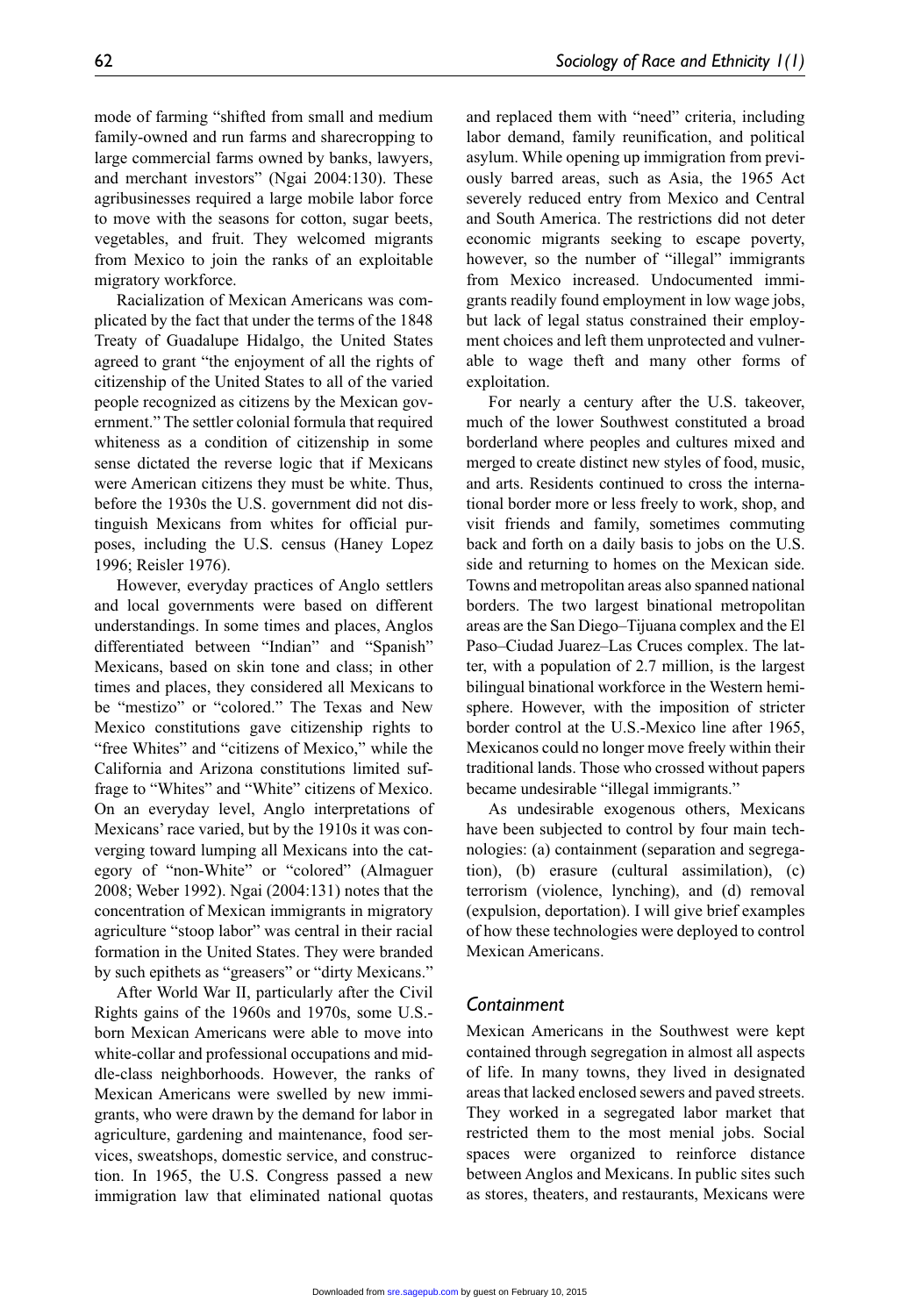mode of farming "shifted from small and medium family-owned and run farms and sharecropping to large commercial farms owned by banks, lawyers, and merchant investors" (Ngai 2004:130). These agribusinesses required a large mobile labor force to move with the seasons for cotton, sugar beets, vegetables, and fruit. They welcomed migrants from Mexico to join the ranks of an exploitable migratory workforce.

Racialization of Mexican Americans was complicated by the fact that under the terms of the 1848 Treaty of Guadalupe Hidalgo, the United States agreed to grant "the enjoyment of all the rights of citizenship of the United States to all of the varied people recognized as citizens by the Mexican government." The settler colonial formula that required whiteness as a condition of citizenship in some sense dictated the reverse logic that if Mexicans were American citizens they must be white. Thus, before the 1930s the U.S. government did not distinguish Mexicans from whites for official purposes, including the U.S. census (Haney Lopez 1996; Reisler 1976).

However, everyday practices of Anglo settlers and local governments were based on different understandings. In some times and places, Anglos differentiated between "Indian" and "Spanish" Mexicans, based on skin tone and class; in other times and places, they considered all Mexicans to be "mestizo" or "colored." The Texas and New Mexico constitutions gave citizenship rights to "free Whites" and "citizens of Mexico," while the California and Arizona constitutions limited suffrage to "Whites" and "White" citizens of Mexico. On an everyday level, Anglo interpretations of Mexicans' race varied, but by the 1910s it was converging toward lumping all Mexicans into the category of "non-White" or "colored" (Almaguer 2008; Weber 1992). Ngai (2004:131) notes that the concentration of Mexican immigrants in migratory agriculture "stoop labor" was central in their racial formation in the United States. They were branded by such epithets as "greasers" or "dirty Mexicans."

After World War II, particularly after the Civil Rights gains of the 1960s and 1970s, some U.S. born Mexican Americans were able to move into white-collar and professional occupations and middle-class neighborhoods. However, the ranks of Mexican Americans were swelled by new immigrants, who were drawn by the demand for labor in agriculture, gardening and maintenance, food services, sweatshops, domestic service, and construction. In 1965, the U.S. Congress passed a new immigration law that eliminated national quotas and replaced them with "need" criteria, including labor demand, family reunification, and political asylum. While opening up immigration from previously barred areas, such as Asia, the 1965 Act severely reduced entry from Mexico and Central and South America. The restrictions did not deter economic migrants seeking to escape poverty, however, so the number of "illegal" immigrants from Mexico increased. Undocumented immigrants readily found employment in low wage jobs, but lack of legal status constrained their employment choices and left them unprotected and vulnerable to wage theft and many other forms of exploitation.

For nearly a century after the U.S. takeover, much of the lower Southwest constituted a broad borderland where peoples and cultures mixed and merged to create distinct new styles of food, music, and arts. Residents continued to cross the international border more or less freely to work, shop, and visit friends and family, sometimes commuting back and forth on a daily basis to jobs on the U.S. side and returning to homes on the Mexican side. Towns and metropolitan areas also spanned national borders. The two largest binational metropolitan areas are the San Diego–Tijuana complex and the El Paso–Ciudad Juarez–Las Cruces complex. The latter, with a population of 2.7 million, is the largest bilingual binational workforce in the Western hemisphere. However, with the imposition of stricter border control at the U.S.-Mexico line after 1965, Mexicanos could no longer move freely within their traditional lands. Those who crossed without papers became undesirable "illegal immigrants."

As undesirable exogenous others, Mexicans have been subjected to control by four main technologies: (a) containment (separation and segregation), (b) erasure (cultural assimilation), (c) terrorism (violence, lynching), and (d) removal (expulsion, deportation). I will give brief examples of how these technologies were deployed to control Mexican Americans.

#### *Containment*

Mexican Americans in the Southwest were kept contained through segregation in almost all aspects of life. In many towns, they lived in designated areas that lacked enclosed sewers and paved streets. They worked in a segregated labor market that restricted them to the most menial jobs. Social spaces were organized to reinforce distance between Anglos and Mexicans. In public sites such as stores, theaters, and restaurants, Mexicans were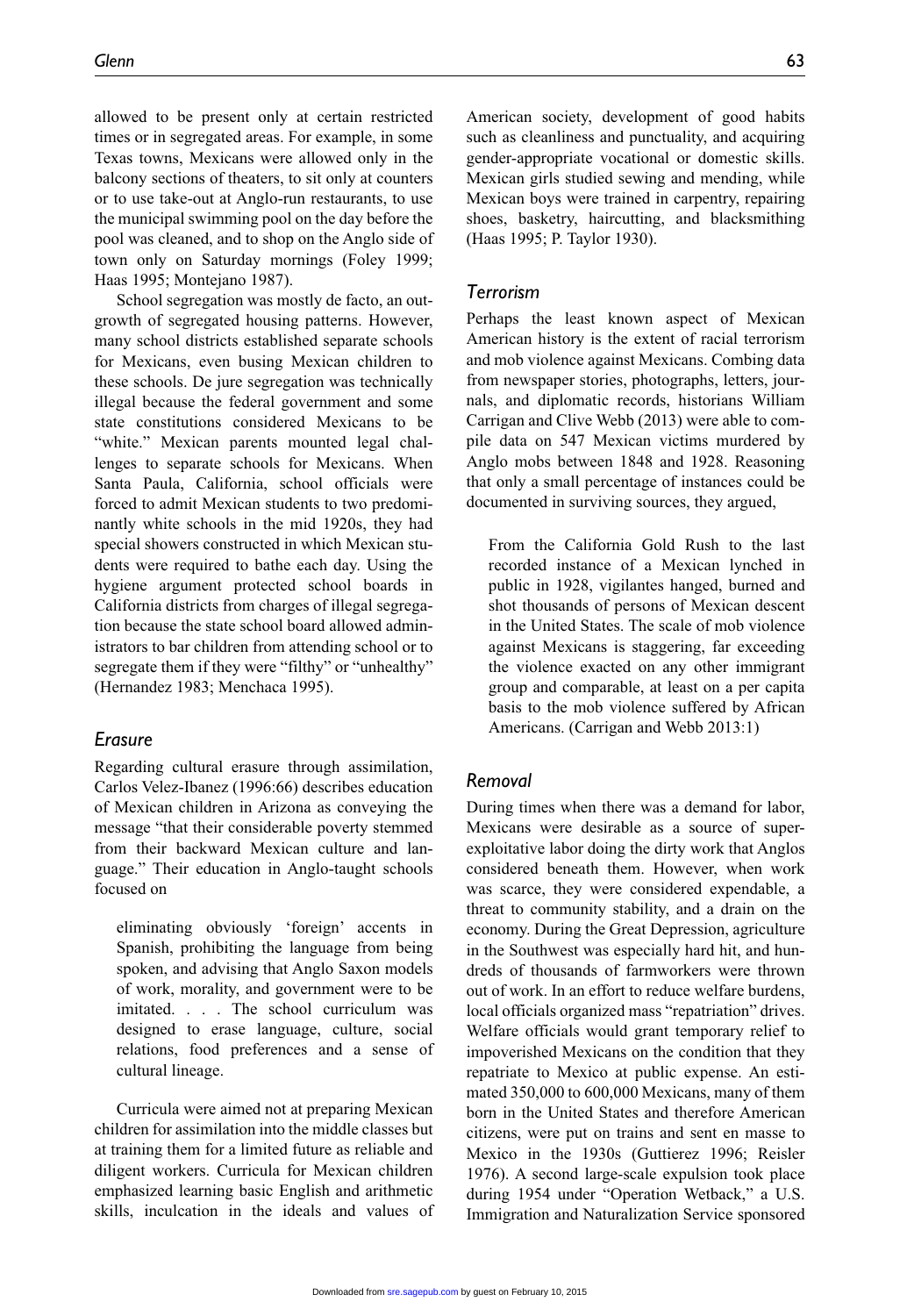allowed to be present only at certain restricted times or in segregated areas. For example, in some Texas towns, Mexicans were allowed only in the balcony sections of theaters, to sit only at counters or to use take-out at Anglo-run restaurants, to use the municipal swimming pool on the day before the pool was cleaned, and to shop on the Anglo side of town only on Saturday mornings (Foley 1999; Haas 1995; Montejano 1987).

School segregation was mostly de facto, an outgrowth of segregated housing patterns. However, many school districts established separate schools for Mexicans, even busing Mexican children to these schools. De jure segregation was technically illegal because the federal government and some state constitutions considered Mexicans to be "white." Mexican parents mounted legal challenges to separate schools for Mexicans. When Santa Paula, California, school officials were forced to admit Mexican students to two predominantly white schools in the mid 1920s, they had special showers constructed in which Mexican students were required to bathe each day. Using the hygiene argument protected school boards in California districts from charges of illegal segregation because the state school board allowed administrators to bar children from attending school or to segregate them if they were "filthy" or "unhealthy" (Hernandez 1983; Menchaca 1995).

#### *Erasure*

Regarding cultural erasure through assimilation, Carlos Velez-Ibanez (1996:66) describes education of Mexican children in Arizona as conveying the message "that their considerable poverty stemmed from their backward Mexican culture and language." Their education in Anglo-taught schools focused on

eliminating obviously 'foreign' accents in Spanish, prohibiting the language from being spoken, and advising that Anglo Saxon models of work, morality, and government were to be imitated. . . . The school curriculum was designed to erase language, culture, social relations, food preferences and a sense of cultural lineage.

Curricula were aimed not at preparing Mexican children for assimilation into the middle classes but at training them for a limited future as reliable and diligent workers. Curricula for Mexican children emphasized learning basic English and arithmetic skills, inculcation in the ideals and values of

American society, development of good habits such as cleanliness and punctuality, and acquiring gender-appropriate vocational or domestic skills. Mexican girls studied sewing and mending, while Mexican boys were trained in carpentry, repairing shoes, basketry, haircutting, and blacksmithing (Haas 1995; P. Taylor 1930).

#### *Terrorism*

Perhaps the least known aspect of Mexican American history is the extent of racial terrorism and mob violence against Mexicans. Combing data from newspaper stories, photographs, letters, journals, and diplomatic records, historians William Carrigan and Clive Webb (2013) were able to compile data on 547 Mexican victims murdered by Anglo mobs between 1848 and 1928. Reasoning that only a small percentage of instances could be documented in surviving sources, they argued,

From the California Gold Rush to the last recorded instance of a Mexican lynched in public in 1928, vigilantes hanged, burned and shot thousands of persons of Mexican descent in the United States. The scale of mob violence against Mexicans is staggering, far exceeding the violence exacted on any other immigrant group and comparable, at least on a per capita basis to the mob violence suffered by African Americans. (Carrigan and Webb 2013:1)

#### *Removal*

During times when there was a demand for labor, Mexicans were desirable as a source of superexploitative labor doing the dirty work that Anglos considered beneath them. However, when work was scarce, they were considered expendable, a threat to community stability, and a drain on the economy. During the Great Depression, agriculture in the Southwest was especially hard hit, and hundreds of thousands of farmworkers were thrown out of work. In an effort to reduce welfare burdens, local officials organized mass "repatriation" drives. Welfare officials would grant temporary relief to impoverished Mexicans on the condition that they repatriate to Mexico at public expense. An estimated 350,000 to 600,000 Mexicans, many of them born in the United States and therefore American citizens, were put on trains and sent en masse to Mexico in the 1930s (Guttierez 1996; Reisler 1976). A second large-scale expulsion took place during 1954 under "Operation Wetback," a U.S. Immigration and Naturalization Service sponsored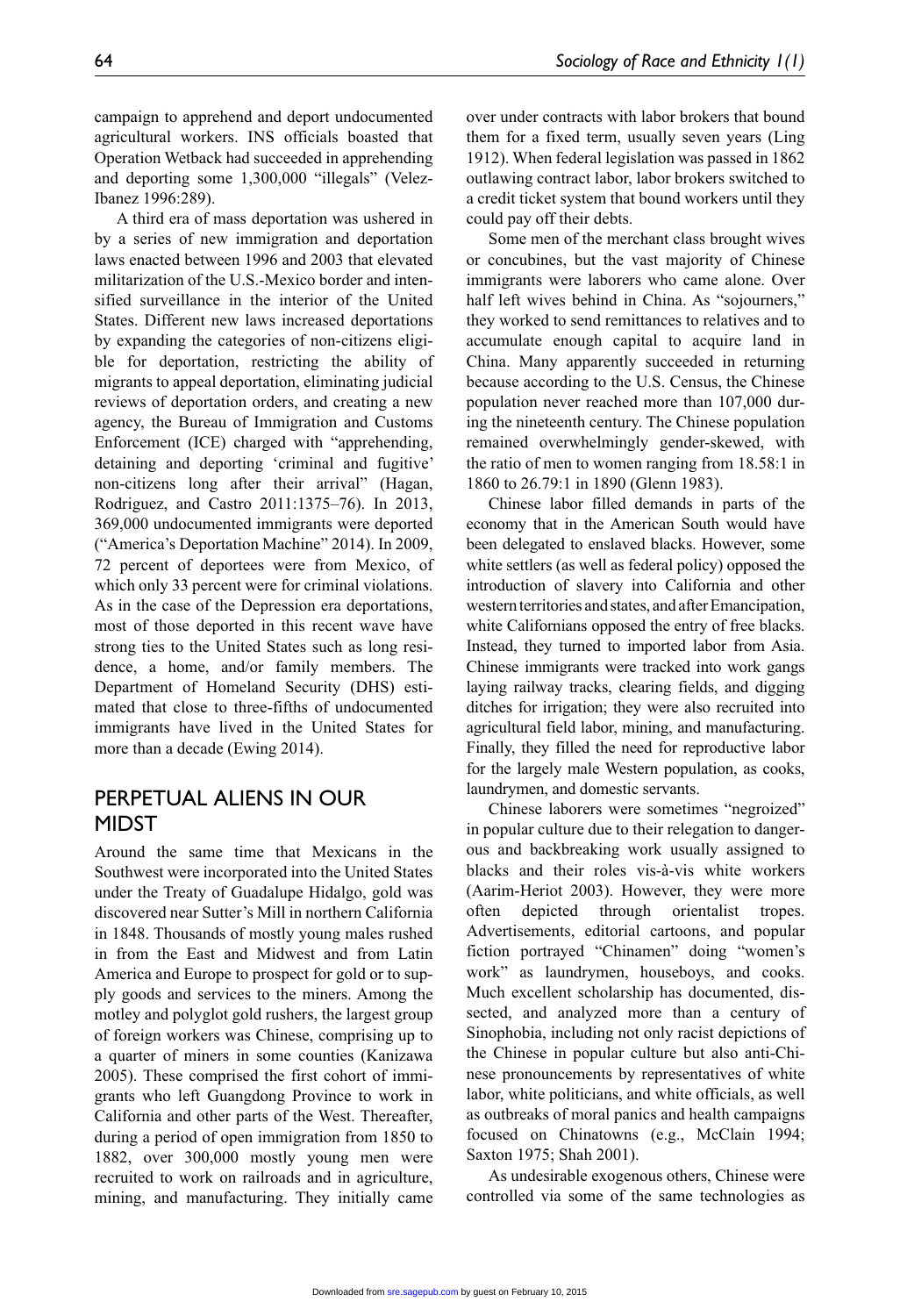campaign to apprehend and deport undocumented agricultural workers. INS officials boasted that Operation Wetback had succeeded in apprehending and deporting some 1,300,000 "illegals" (Velez-Ibanez 1996:289).

A third era of mass deportation was ushered in by a series of new immigration and deportation laws enacted between 1996 and 2003 that elevated militarization of the U.S.-Mexico border and intensified surveillance in the interior of the United States. Different new laws increased deportations by expanding the categories of non-citizens eligible for deportation, restricting the ability of migrants to appeal deportation, eliminating judicial reviews of deportation orders, and creating a new agency, the Bureau of Immigration and Customs Enforcement (ICE) charged with "apprehending, detaining and deporting 'criminal and fugitive' non-citizens long after their arrival" (Hagan, Rodriguez, and Castro 2011:1375–76). In 2013, 369,000 undocumented immigrants were deported ("America's Deportation Machine" 2014). In 2009, 72 percent of deportees were from Mexico, of which only 33 percent were for criminal violations. As in the case of the Depression era deportations, most of those deported in this recent wave have strong ties to the United States such as long residence, a home, and/or family members. The Department of Homeland Security (DHS) estimated that close to three-fifths of undocumented immigrants have lived in the United States for more than a decade (Ewing 2014).

# Perpetual Aliens in Our **MIDST**

Around the same time that Mexicans in the Southwest were incorporated into the United States under the Treaty of Guadalupe Hidalgo, gold was discovered near Sutter's Mill in northern California in 1848. Thousands of mostly young males rushed in from the East and Midwest and from Latin America and Europe to prospect for gold or to supply goods and services to the miners. Among the motley and polyglot gold rushers, the largest group of foreign workers was Chinese, comprising up to a quarter of miners in some counties (Kanizawa 2005). These comprised the first cohort of immigrants who left Guangdong Province to work in California and other parts of the West. Thereafter, during a period of open immigration from 1850 to 1882, over 300,000 mostly young men were recruited to work on railroads and in agriculture, mining, and manufacturing. They initially came over under contracts with labor brokers that bound them for a fixed term, usually seven years (Ling 1912). When federal legislation was passed in 1862 outlawing contract labor, labor brokers switched to a credit ticket system that bound workers until they could pay off their debts.

Some men of the merchant class brought wives or concubines, but the vast majority of Chinese immigrants were laborers who came alone. Over half left wives behind in China. As "sojourners," they worked to send remittances to relatives and to accumulate enough capital to acquire land in China. Many apparently succeeded in returning because according to the U.S. Census, the Chinese population never reached more than 107,000 during the nineteenth century. The Chinese population remained overwhelmingly gender-skewed, with the ratio of men to women ranging from 18.58:1 in 1860 to 26.79:1 in 1890 (Glenn 1983).

Chinese labor filled demands in parts of the economy that in the American South would have been delegated to enslaved blacks. However, some white settlers (as well as federal policy) opposed the introduction of slavery into California and other western territories and states, and after Emancipation, white Californians opposed the entry of free blacks. Instead, they turned to imported labor from Asia. Chinese immigrants were tracked into work gangs laying railway tracks, clearing fields, and digging ditches for irrigation; they were also recruited into agricultural field labor, mining, and manufacturing. Finally, they filled the need for reproductive labor for the largely male Western population, as cooks, laundrymen, and domestic servants.

Chinese laborers were sometimes "negroized" in popular culture due to their relegation to dangerous and backbreaking work usually assigned to blacks and their roles vis-à-vis white workers (Aarim-Heriot 2003). However, they were more often depicted through orientalist tropes. Advertisements, editorial cartoons, and popular fiction portrayed "Chinamen" doing "women's work" as laundrymen, houseboys, and cooks. Much excellent scholarship has documented, dissected, and analyzed more than a century of Sinophobia, including not only racist depictions of the Chinese in popular culture but also anti-Chinese pronouncements by representatives of white labor, white politicians, and white officials, as well as outbreaks of moral panics and health campaigns focused on Chinatowns (e.g., McClain 1994; Saxton 1975; Shah 2001).

As undesirable exogenous others, Chinese were controlled via some of the same technologies as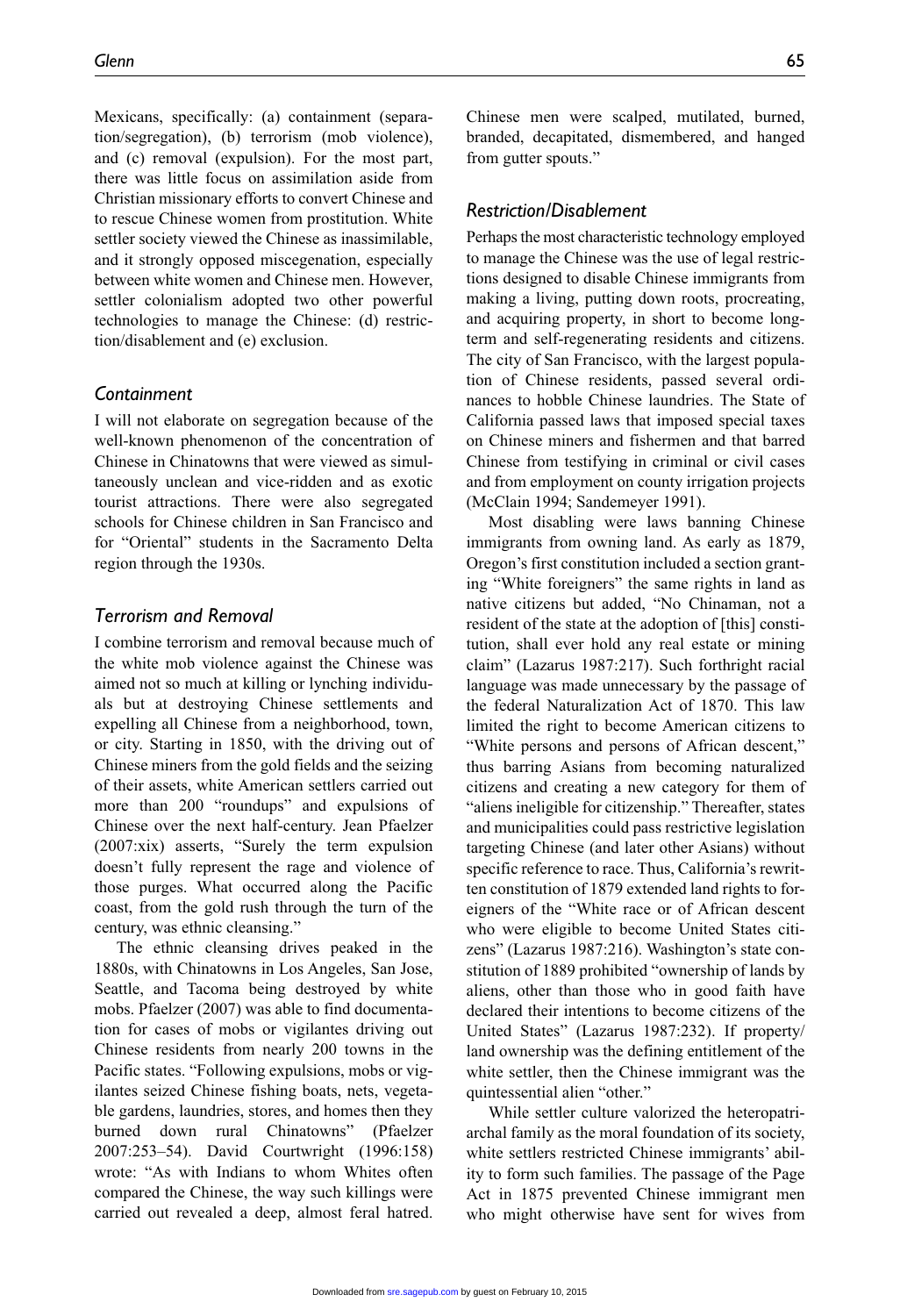Mexicans, specifically: (a) containment (separation/segregation), (b) terrorism (mob violence), and (c) removal (expulsion). For the most part, there was little focus on assimilation aside from Christian missionary efforts to convert Chinese and to rescue Chinese women from prostitution. White settler society viewed the Chinese as inassimilable, and it strongly opposed miscegenation, especially between white women and Chinese men. However, settler colonialism adopted two other powerful technologies to manage the Chinese: (d) restriction/disablement and (e) exclusion.

#### *Containment*

I will not elaborate on segregation because of the well-known phenomenon of the concentration of Chinese in Chinatowns that were viewed as simultaneously unclean and vice-ridden and as exotic tourist attractions. There were also segregated schools for Chinese children in San Francisco and for "Oriental" students in the Sacramento Delta region through the 1930s.

#### *Terrorism and Removal*

I combine terrorism and removal because much of the white mob violence against the Chinese was aimed not so much at killing or lynching individuals but at destroying Chinese settlements and expelling all Chinese from a neighborhood, town, or city. Starting in 1850, with the driving out of Chinese miners from the gold fields and the seizing of their assets, white American settlers carried out more than 200 "roundups" and expulsions of Chinese over the next half-century. Jean Pfaelzer (2007:xix) asserts, "Surely the term expulsion doesn't fully represent the rage and violence of those purges. What occurred along the Pacific coast, from the gold rush through the turn of the century, was ethnic cleansing."

The ethnic cleansing drives peaked in the 1880s, with Chinatowns in Los Angeles, San Jose, Seattle, and Tacoma being destroyed by white mobs. Pfaelzer (2007) was able to find documentation for cases of mobs or vigilantes driving out Chinese residents from nearly 200 towns in the Pacific states. "Following expulsions, mobs or vigilantes seized Chinese fishing boats, nets, vegetable gardens, laundries, stores, and homes then they burned down rural Chinatowns" (Pfaelzer 2007:253–54). David Courtwright (1996:158) wrote: "As with Indians to whom Whites often compared the Chinese, the way such killings were carried out revealed a deep, almost feral hatred. Chinese men were scalped, mutilated, burned, branded, decapitated, dismembered, and hanged from gutter spouts."

#### *Restriction/Disablement*

Perhaps the most characteristic technology employed to manage the Chinese was the use of legal restrictions designed to disable Chinese immigrants from making a living, putting down roots, procreating, and acquiring property, in short to become longterm and self-regenerating residents and citizens. The city of San Francisco, with the largest population of Chinese residents, passed several ordinances to hobble Chinese laundries. The State of California passed laws that imposed special taxes on Chinese miners and fishermen and that barred Chinese from testifying in criminal or civil cases and from employment on county irrigation projects (McClain 1994; Sandemeyer 1991).

Most disabling were laws banning Chinese immigrants from owning land. As early as 1879, Oregon's first constitution included a section granting "White foreigners" the same rights in land as native citizens but added, "No Chinaman, not a resident of the state at the adoption of [this] constitution, shall ever hold any real estate or mining claim" (Lazarus 1987:217). Such forthright racial language was made unnecessary by the passage of the federal Naturalization Act of 1870. This law limited the right to become American citizens to "White persons and persons of African descent," thus barring Asians from becoming naturalized citizens and creating a new category for them of "aliens ineligible for citizenship." Thereafter, states and municipalities could pass restrictive legislation targeting Chinese (and later other Asians) without specific reference to race. Thus, California's rewritten constitution of 1879 extended land rights to foreigners of the "White race or of African descent who were eligible to become United States citizens" (Lazarus 1987:216). Washington's state constitution of 1889 prohibited "ownership of lands by aliens, other than those who in good faith have declared their intentions to become citizens of the United States" (Lazarus 1987:232). If property/ land ownership was the defining entitlement of the white settler, then the Chinese immigrant was the quintessential alien "other."

While settler culture valorized the heteropatriarchal family as the moral foundation of its society, white settlers restricted Chinese immigrants' ability to form such families. The passage of the Page Act in 1875 prevented Chinese immigrant men who might otherwise have sent for wives from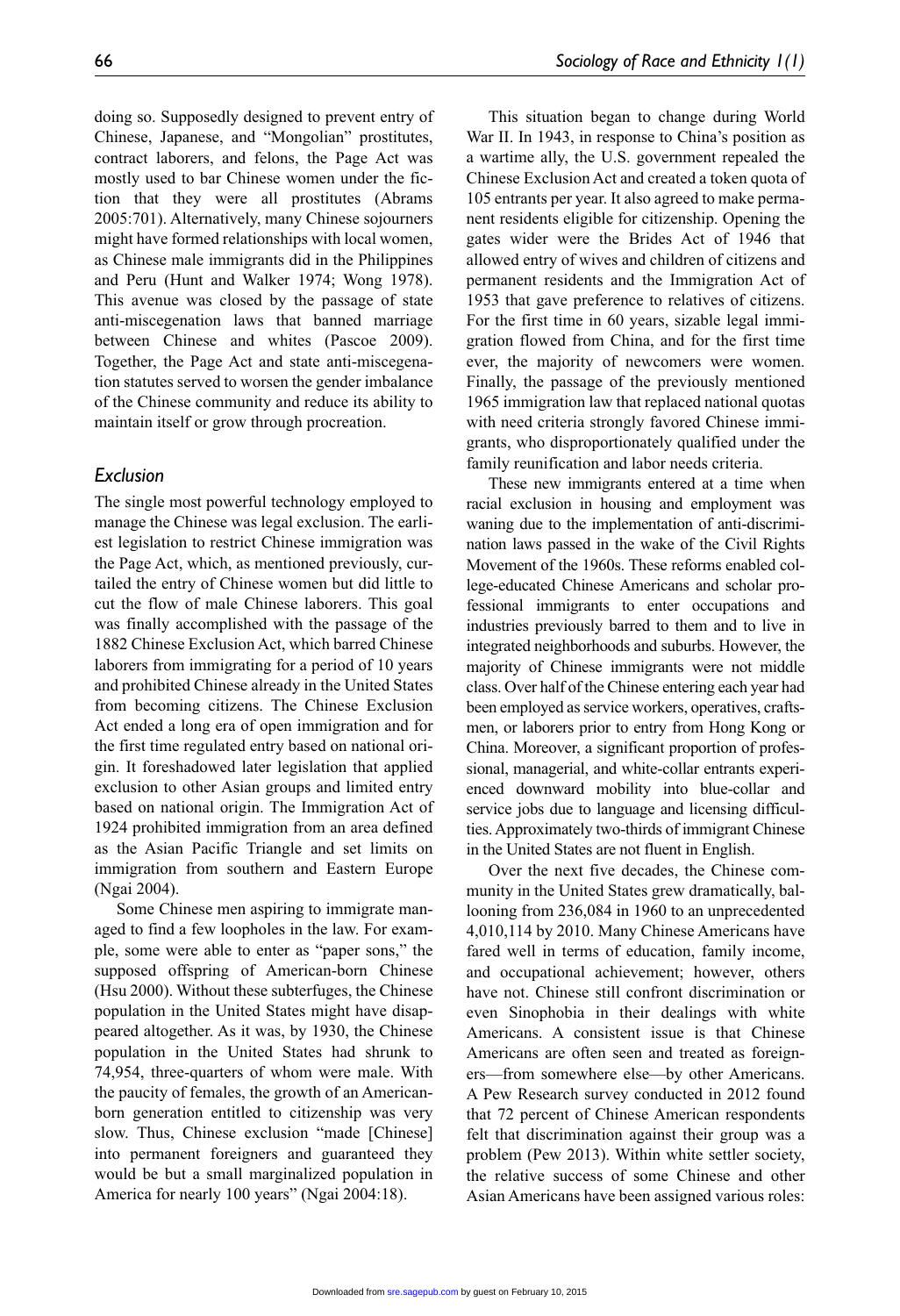doing so. Supposedly designed to prevent entry of Chinese, Japanese, and "Mongolian" prostitutes, contract laborers, and felons, the Page Act was mostly used to bar Chinese women under the fiction that they were all prostitutes (Abrams 2005:701). Alternatively, many Chinese sojourners might have formed relationships with local women, as Chinese male immigrants did in the Philippines and Peru (Hunt and Walker 1974; Wong 1978). This avenue was closed by the passage of state anti-miscegenation laws that banned marriage between Chinese and whites (Pascoe 2009). Together, the Page Act and state anti-miscegenation statutes served to worsen the gender imbalance of the Chinese community and reduce its ability to maintain itself or grow through procreation.

#### *Exclusion*

The single most powerful technology employed to manage the Chinese was legal exclusion. The earliest legislation to restrict Chinese immigration was the Page Act, which, as mentioned previously, curtailed the entry of Chinese women but did little to cut the flow of male Chinese laborers. This goal was finally accomplished with the passage of the 1882 Chinese Exclusion Act, which barred Chinese laborers from immigrating for a period of 10 years and prohibited Chinese already in the United States from becoming citizens. The Chinese Exclusion Act ended a long era of open immigration and for the first time regulated entry based on national origin. It foreshadowed later legislation that applied exclusion to other Asian groups and limited entry based on national origin. The Immigration Act of 1924 prohibited immigration from an area defined as the Asian Pacific Triangle and set limits on immigration from southern and Eastern Europe (Ngai 2004).

Some Chinese men aspiring to immigrate managed to find a few loopholes in the law. For example, some were able to enter as "paper sons," the supposed offspring of American-born Chinese (Hsu 2000). Without these subterfuges, the Chinese population in the United States might have disappeared altogether. As it was, by 1930, the Chinese population in the United States had shrunk to 74,954, three-quarters of whom were male. With the paucity of females, the growth of an Americanborn generation entitled to citizenship was very slow. Thus, Chinese exclusion "made [Chinese] into permanent foreigners and guaranteed they would be but a small marginalized population in America for nearly 100 years" (Ngai 2004:18).

This situation began to change during World War II. In 1943, in response to China's position as a wartime ally, the U.S. government repealed the Chinese Exclusion Act and created a token quota of 105 entrants per year. It also agreed to make permanent residents eligible for citizenship. Opening the gates wider were the Brides Act of 1946 that allowed entry of wives and children of citizens and permanent residents and the Immigration Act of 1953 that gave preference to relatives of citizens. For the first time in 60 years, sizable legal immigration flowed from China, and for the first time ever, the majority of newcomers were women. Finally, the passage of the previously mentioned 1965 immigration law that replaced national quotas with need criteria strongly favored Chinese immigrants, who disproportionately qualified under the family reunification and labor needs criteria.

These new immigrants entered at a time when racial exclusion in housing and employment was waning due to the implementation of anti-discrimination laws passed in the wake of the Civil Rights Movement of the 1960s. These reforms enabled college-educated Chinese Americans and scholar professional immigrants to enter occupations and industries previously barred to them and to live in integrated neighborhoods and suburbs. However, the majority of Chinese immigrants were not middle class. Over half of the Chinese entering each year had been employed as service workers, operatives, craftsmen, or laborers prior to entry from Hong Kong or China. Moreover, a significant proportion of professional, managerial, and white-collar entrants experienced downward mobility into blue-collar and service jobs due to language and licensing difficulties. Approximately two-thirds of immigrant Chinese in the United States are not fluent in English.

Over the next five decades, the Chinese community in the United States grew dramatically, ballooning from 236,084 in 1960 to an unprecedented 4,010,114 by 2010. Many Chinese Americans have fared well in terms of education, family income, and occupational achievement; however, others have not. Chinese still confront discrimination or even Sinophobia in their dealings with white Americans. A consistent issue is that Chinese Americans are often seen and treated as foreigners—from somewhere else—by other Americans. A Pew Research survey conducted in 2012 found that 72 percent of Chinese American respondents felt that discrimination against their group was a problem (Pew 2013). Within white settler society, the relative success of some Chinese and other Asian Americans have been assigned various roles: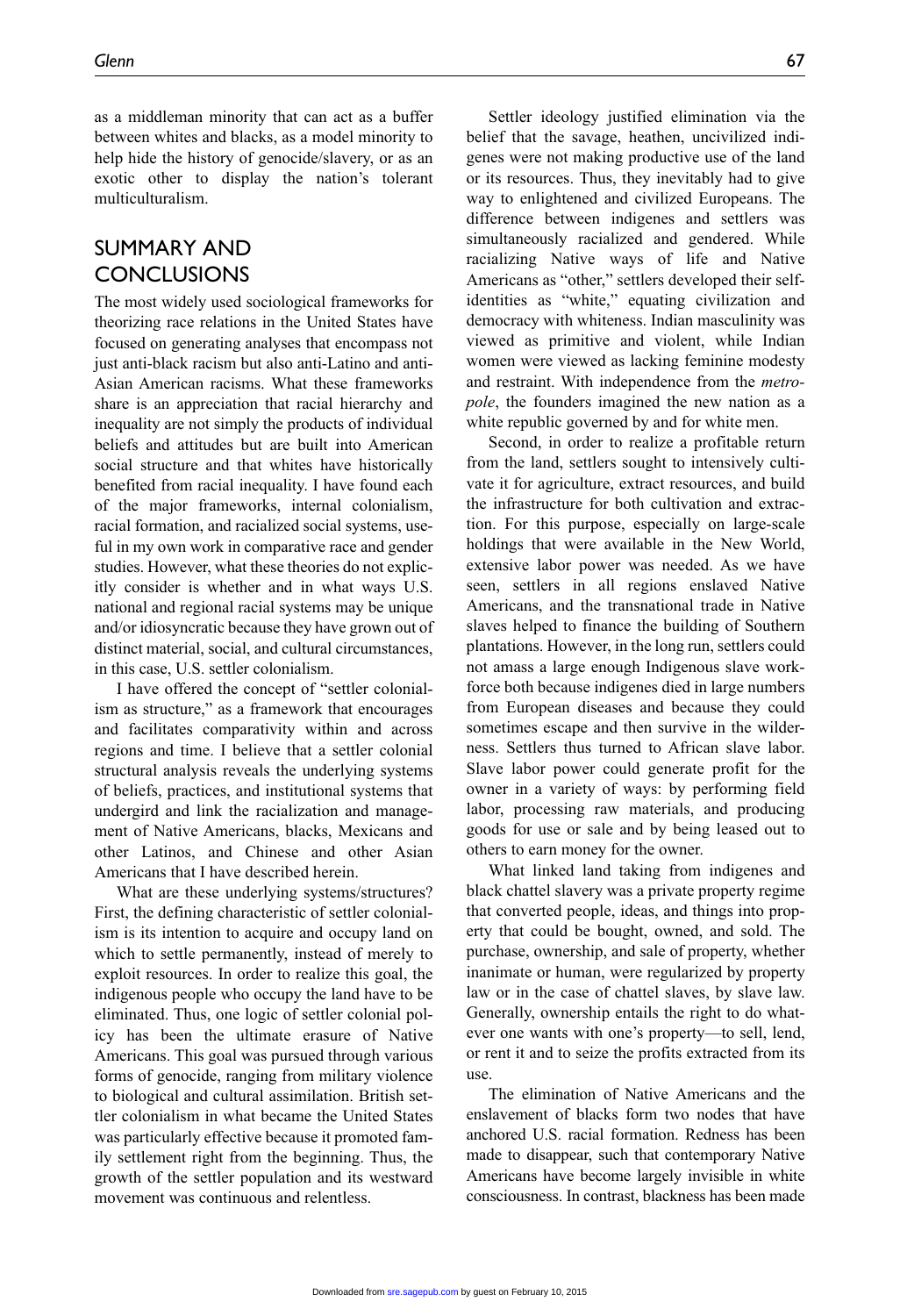as a middleman minority that can act as a buffer between whites and blacks, as a model minority to help hide the history of genocide/slavery, or as an exotic other to display the nation's tolerant multiculturalism.

### Summary and **CONCLUSIONS**

The most widely used sociological frameworks for theorizing race relations in the United States have focused on generating analyses that encompass not just anti-black racism but also anti-Latino and anti-Asian American racisms. What these frameworks share is an appreciation that racial hierarchy and inequality are not simply the products of individual beliefs and attitudes but are built into American social structure and that whites have historically benefited from racial inequality. I have found each of the major frameworks, internal colonialism, racial formation, and racialized social systems, useful in my own work in comparative race and gender studies. However, what these theories do not explicitly consider is whether and in what ways U.S. national and regional racial systems may be unique and/or idiosyncratic because they have grown out of distinct material, social, and cultural circumstances, in this case, U.S. settler colonialism.

I have offered the concept of "settler colonialism as structure," as a framework that encourages and facilitates comparativity within and across regions and time. I believe that a settler colonial structural analysis reveals the underlying systems of beliefs, practices, and institutional systems that undergird and link the racialization and management of Native Americans, blacks, Mexicans and other Latinos, and Chinese and other Asian Americans that I have described herein.

What are these underlying systems/structures? First, the defining characteristic of settler colonialism is its intention to acquire and occupy land on which to settle permanently, instead of merely to exploit resources. In order to realize this goal, the indigenous people who occupy the land have to be eliminated. Thus, one logic of settler colonial policy has been the ultimate erasure of Native Americans. This goal was pursued through various forms of genocide, ranging from military violence to biological and cultural assimilation. British settler colonialism in what became the United States was particularly effective because it promoted family settlement right from the beginning. Thus, the growth of the settler population and its westward movement was continuous and relentless.

Settler ideology justified elimination via the belief that the savage, heathen, uncivilized indigenes were not making productive use of the land or its resources. Thus, they inevitably had to give way to enlightened and civilized Europeans. The difference between indigenes and settlers was simultaneously racialized and gendered. While racializing Native ways of life and Native Americans as "other," settlers developed their selfidentities as "white," equating civilization and democracy with whiteness. Indian masculinity was viewed as primitive and violent, while Indian women were viewed as lacking feminine modesty and restraint. With independence from the *metropole*, the founders imagined the new nation as a white republic governed by and for white men.

Second, in order to realize a profitable return from the land, settlers sought to intensively cultivate it for agriculture, extract resources, and build the infrastructure for both cultivation and extraction. For this purpose, especially on large-scale holdings that were available in the New World, extensive labor power was needed. As we have seen, settlers in all regions enslaved Native Americans, and the transnational trade in Native slaves helped to finance the building of Southern plantations. However, in the long run, settlers could not amass a large enough Indigenous slave workforce both because indigenes died in large numbers from European diseases and because they could sometimes escape and then survive in the wilderness. Settlers thus turned to African slave labor. Slave labor power could generate profit for the owner in a variety of ways: by performing field labor, processing raw materials, and producing goods for use or sale and by being leased out to others to earn money for the owner.

What linked land taking from indigenes and black chattel slavery was a private property regime that converted people, ideas, and things into property that could be bought, owned, and sold. The purchase, ownership, and sale of property, whether inanimate or human, were regularized by property law or in the case of chattel slaves, by slave law. Generally, ownership entails the right to do whatever one wants with one's property—to sell, lend, or rent it and to seize the profits extracted from its use.

The elimination of Native Americans and the enslavement of blacks form two nodes that have anchored U.S. racial formation. Redness has been made to disappear, such that contemporary Native Americans have become largely invisible in white consciousness. In contrast, blackness has been made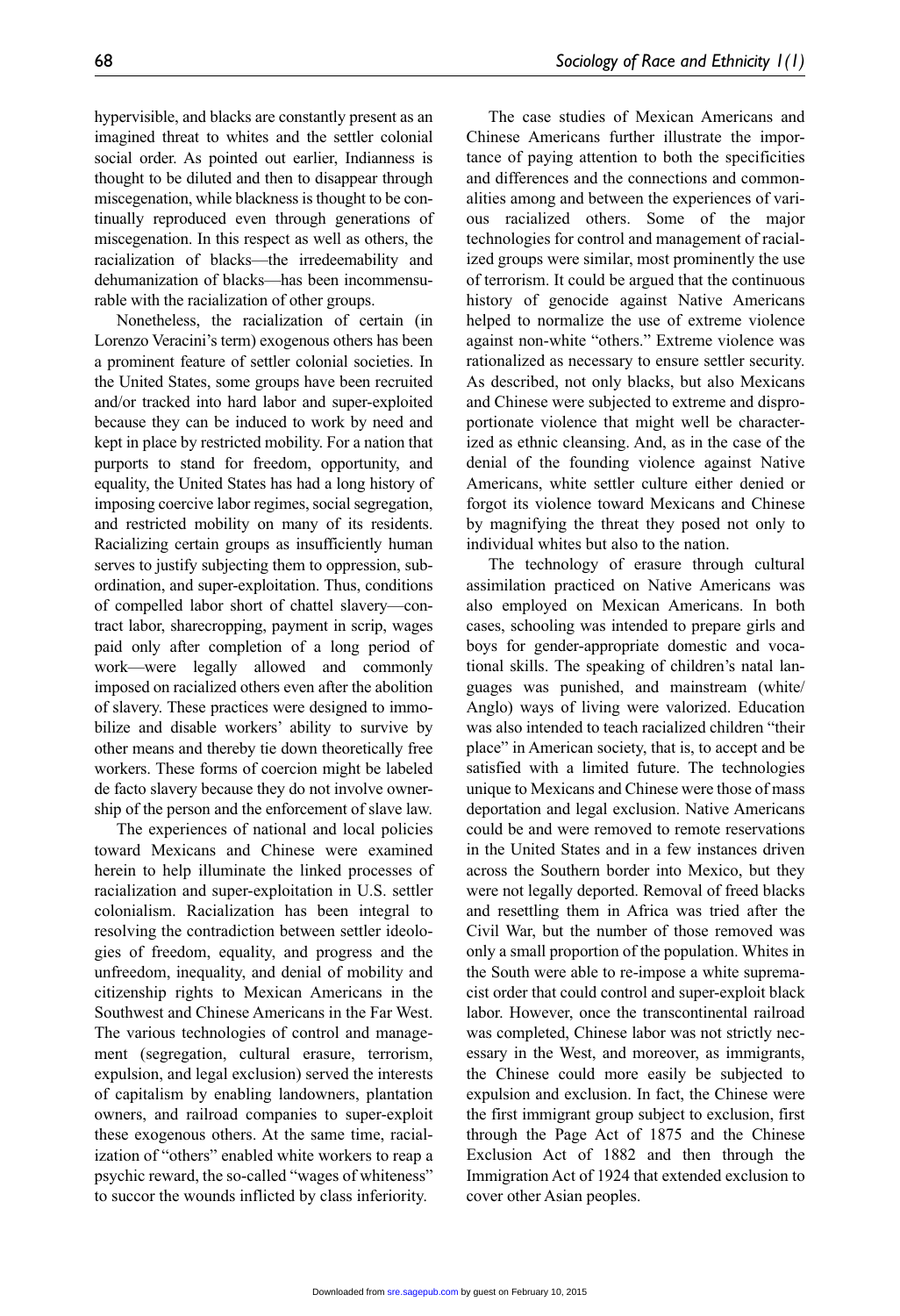imagined threat to whites and the settler colonial social order. As pointed out earlier, Indianness is thought to be diluted and then to disappear through miscegenation, while blackness is thought to be continually reproduced even through generations of miscegenation. In this respect as well as others, the racialization of blacks—the irredeemability and dehumanization of blacks—has been incommensurable with the racialization of other groups.

Nonetheless, the racialization of certain (in Lorenzo Veracini's term) exogenous others has been a prominent feature of settler colonial societies. In the United States, some groups have been recruited and/or tracked into hard labor and super-exploited because they can be induced to work by need and kept in place by restricted mobility. For a nation that purports to stand for freedom, opportunity, and equality, the United States has had a long history of imposing coercive labor regimes, social segregation, and restricted mobility on many of its residents. Racializing certain groups as insufficiently human serves to justify subjecting them to oppression, subordination, and super-exploitation. Thus, conditions of compelled labor short of chattel slavery—contract labor, sharecropping, payment in scrip, wages paid only after completion of a long period of work—were legally allowed and commonly imposed on racialized others even after the abolition of slavery. These practices were designed to immobilize and disable workers' ability to survive by other means and thereby tie down theoretically free workers. These forms of coercion might be labeled de facto slavery because they do not involve ownership of the person and the enforcement of slave law.

The experiences of national and local policies toward Mexicans and Chinese were examined herein to help illuminate the linked processes of racialization and super-exploitation in U.S. settler colonialism. Racialization has been integral to resolving the contradiction between settler ideologies of freedom, equality, and progress and the unfreedom, inequality, and denial of mobility and citizenship rights to Mexican Americans in the Southwest and Chinese Americans in the Far West. The various technologies of control and management (segregation, cultural erasure, terrorism, expulsion, and legal exclusion) served the interests of capitalism by enabling landowners, plantation owners, and railroad companies to super-exploit these exogenous others. At the same time, racialization of "others" enabled white workers to reap a psychic reward, the so-called "wages of whiteness" to succor the wounds inflicted by class inferiority.

The case studies of Mexican Americans and Chinese Americans further illustrate the importance of paying attention to both the specificities and differences and the connections and commonalities among and between the experiences of various racialized others. Some of the major technologies for control and management of racialized groups were similar, most prominently the use of terrorism. It could be argued that the continuous history of genocide against Native Americans helped to normalize the use of extreme violence against non-white "others." Extreme violence was rationalized as necessary to ensure settler security. As described, not only blacks, but also Mexicans and Chinese were subjected to extreme and disproportionate violence that might well be characterized as ethnic cleansing. And, as in the case of the denial of the founding violence against Native Americans, white settler culture either denied or forgot its violence toward Mexicans and Chinese by magnifying the threat they posed not only to individual whites but also to the nation.

The technology of erasure through cultural assimilation practiced on Native Americans was also employed on Mexican Americans. In both cases, schooling was intended to prepare girls and boys for gender-appropriate domestic and vocational skills. The speaking of children's natal languages was punished, and mainstream (white/ Anglo) ways of living were valorized. Education was also intended to teach racialized children "their place" in American society, that is, to accept and be satisfied with a limited future. The technologies unique to Mexicans and Chinese were those of mass deportation and legal exclusion. Native Americans could be and were removed to remote reservations in the United States and in a few instances driven across the Southern border into Mexico, but they were not legally deported. Removal of freed blacks and resettling them in Africa was tried after the Civil War, but the number of those removed was only a small proportion of the population. Whites in the South were able to re-impose a white supremacist order that could control and super-exploit black labor. However, once the transcontinental railroad was completed, Chinese labor was not strictly necessary in the West, and moreover, as immigrants, the Chinese could more easily be subjected to expulsion and exclusion. In fact, the Chinese were the first immigrant group subject to exclusion, first through the Page Act of 1875 and the Chinese Exclusion Act of 1882 and then through the Immigration Act of 1924 that extended exclusion to cover other Asian peoples.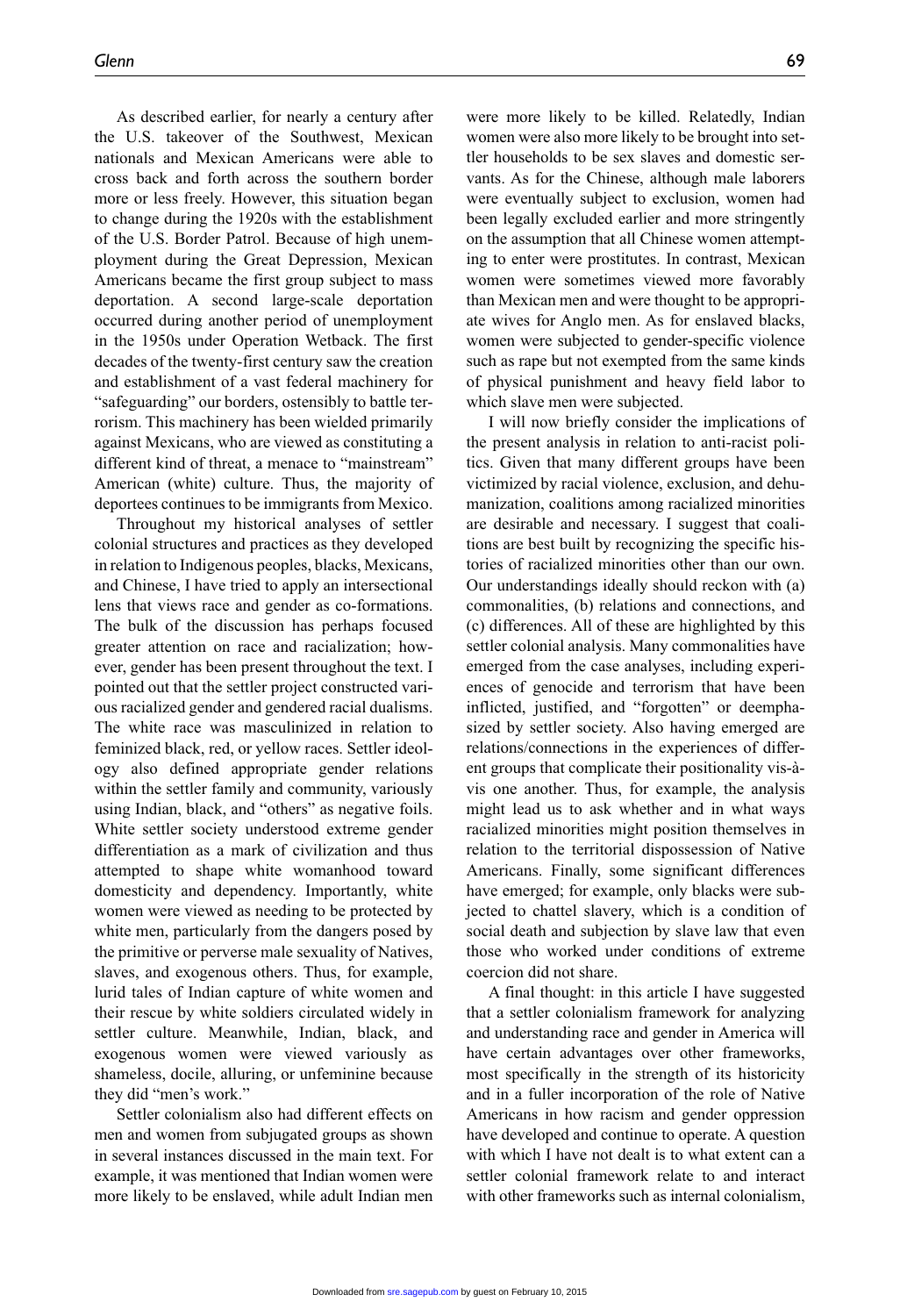As described earlier, for nearly a century after the U.S. takeover of the Southwest, Mexican nationals and Mexican Americans were able to cross back and forth across the southern border more or less freely. However, this situation began to change during the 1920s with the establishment of the U.S. Border Patrol. Because of high unemployment during the Great Depression, Mexican Americans became the first group subject to mass deportation. A second large-scale deportation occurred during another period of unemployment in the 1950s under Operation Wetback. The first decades of the twenty-first century saw the creation and establishment of a vast federal machinery for "safeguarding" our borders, ostensibly to battle terrorism. This machinery has been wielded primarily against Mexicans, who are viewed as constituting a different kind of threat, a menace to "mainstream" American (white) culture. Thus, the majority of deportees continues to be immigrants from Mexico.

Throughout my historical analyses of settler colonial structures and practices as they developed in relation to Indigenous peoples, blacks, Mexicans, and Chinese, I have tried to apply an intersectional lens that views race and gender as co-formations. The bulk of the discussion has perhaps focused greater attention on race and racialization; however, gender has been present throughout the text. I pointed out that the settler project constructed various racialized gender and gendered racial dualisms. The white race was masculinized in relation to feminized black, red, or yellow races. Settler ideology also defined appropriate gender relations within the settler family and community, variously using Indian, black, and "others" as negative foils. White settler society understood extreme gender differentiation as a mark of civilization and thus attempted to shape white womanhood toward domesticity and dependency. Importantly, white women were viewed as needing to be protected by white men, particularly from the dangers posed by the primitive or perverse male sexuality of Natives, slaves, and exogenous others. Thus, for example, lurid tales of Indian capture of white women and their rescue by white soldiers circulated widely in settler culture. Meanwhile, Indian, black, and exogenous women were viewed variously as shameless, docile, alluring, or unfeminine because they did "men's work."

Settler colonialism also had different effects on men and women from subjugated groups as shown in several instances discussed in the main text. For example, it was mentioned that Indian women were more likely to be enslaved, while adult Indian men

were more likely to be killed. Relatedly, Indian women were also more likely to be brought into settler households to be sex slaves and domestic servants. As for the Chinese, although male laborers were eventually subject to exclusion, women had been legally excluded earlier and more stringently on the assumption that all Chinese women attempting to enter were prostitutes. In contrast, Mexican women were sometimes viewed more favorably than Mexican men and were thought to be appropriate wives for Anglo men. As for enslaved blacks, women were subjected to gender-specific violence such as rape but not exempted from the same kinds of physical punishment and heavy field labor to which slave men were subjected.

I will now briefly consider the implications of the present analysis in relation to anti-racist politics. Given that many different groups have been victimized by racial violence, exclusion, and dehumanization, coalitions among racialized minorities are desirable and necessary. I suggest that coalitions are best built by recognizing the specific histories of racialized minorities other than our own. Our understandings ideally should reckon with (a) commonalities, (b) relations and connections, and (c) differences. All of these are highlighted by this settler colonial analysis. Many commonalities have emerged from the case analyses, including experiences of genocide and terrorism that have been inflicted, justified, and "forgotten" or deemphasized by settler society. Also having emerged are relations/connections in the experiences of different groups that complicate their positionality vis-àvis one another. Thus, for example, the analysis might lead us to ask whether and in what ways racialized minorities might position themselves in relation to the territorial dispossession of Native Americans. Finally, some significant differences have emerged; for example, only blacks were subjected to chattel slavery, which is a condition of social death and subjection by slave law that even those who worked under conditions of extreme coercion did not share.

A final thought: in this article I have suggested that a settler colonialism framework for analyzing and understanding race and gender in America will have certain advantages over other frameworks, most specifically in the strength of its historicity and in a fuller incorporation of the role of Native Americans in how racism and gender oppression have developed and continue to operate. A question with which I have not dealt is to what extent can a settler colonial framework relate to and interact with other frameworks such as internal colonialism,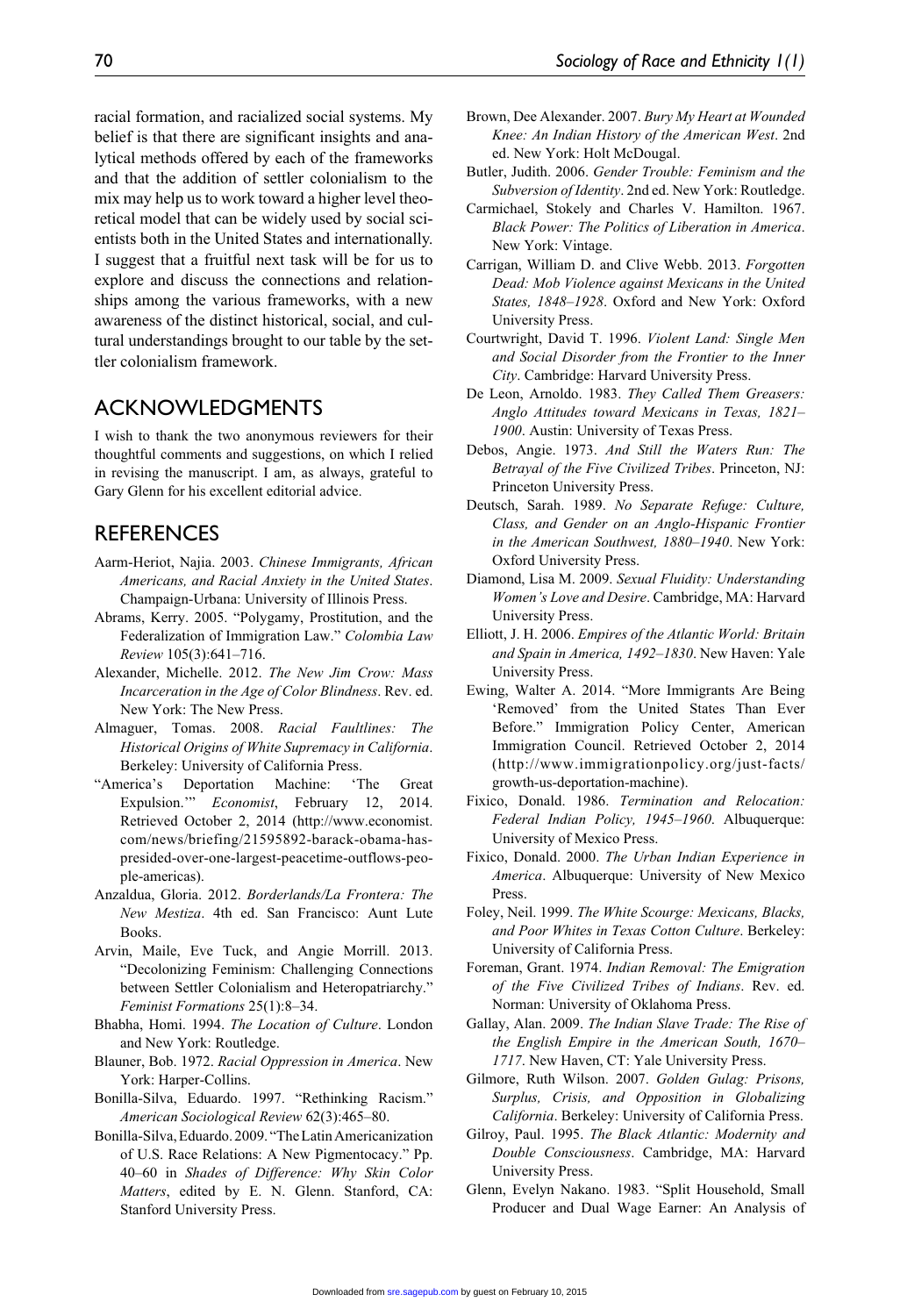racial formation, and racialized social systems. My belief is that there are significant insights and analytical methods offered by each of the frameworks and that the addition of settler colonialism to the mix may help us to work toward a higher level theoretical model that can be widely used by social scientists both in the United States and internationally. I suggest that a fruitful next task will be for us to explore and discuss the connections and relationships among the various frameworks, with a new awareness of the distinct historical, social, and cultural understandings brought to our table by the settler colonialism framework.

### **ACKNOWLEDGMENTS**

I wish to thank the two anonymous reviewers for their thoughtful comments and suggestions, on which I relied in revising the manuscript. I am, as always, grateful to Gary Glenn for his excellent editorial advice.

### **REFERENCES**

- Aarm-Heriot, Najia. 2003. *Chinese Immigrants, African Americans, and Racial Anxiety in the United States*. Champaign-Urbana: University of Illinois Press.
- Abrams, Kerry. 2005. "Polygamy, Prostitution, and the Federalization of Immigration Law." *Colombia Law Review* 105(3):641–716.
- Alexander, Michelle. 2012. *The New Jim Crow: Mass Incarceration in the Age of Color Blindness*. Rev. ed. New York: The New Press.
- Almaguer, Tomas. 2008. *Racial Faultlines: The Historical Origins of White Supremacy in California*. Berkeley: University of California Press.
- "America's Deportation Machine: 'The Great Expulsion.'" *Economist*, February 12, 2014. Retrieved October 2, 2014 (http://www.economist. com/news/briefing/21595892-barack-obama-haspresided-over-one-largest-peacetime-outflows-people-americas).
- Anzaldua, Gloria. 2012. *Borderlands/La Frontera: The New Mestiza*. 4th ed. San Francisco: Aunt Lute Books.
- Arvin, Maile, Eve Tuck, and Angie Morrill. 2013. "Decolonizing Feminism: Challenging Connections between Settler Colonialism and Heteropatriarchy." *Feminist Formations* 25(1):8–34.
- Bhabha, Homi. 1994. *The Location of Culture*. London and New York: Routledge.
- Blauner, Bob. 1972. *Racial Oppression in America*. New York: Harper-Collins.
- Bonilla-Silva, Eduardo. 1997. "Rethinking Racism." *American Sociological Review* 62(3):465–80.
- Bonilla-Silva, Eduardo. 2009. "The Latin Americanization of U.S. Race Relations: A New Pigmentocacy." Pp. 40–60 in *Shades of Difference: Why Skin Color Matters*, edited by E. N. Glenn. Stanford, CA: Stanford University Press.
- Brown, Dee Alexander. 2007. *Bury My Heart at Wounded Knee: An Indian History of the American West*. 2nd ed. New York: Holt McDougal.
- Butler, Judith. 2006. *Gender Trouble: Feminism and the Subversion of Identity*. 2nd ed. New York: Routledge.
- Carmichael, Stokely and Charles V. Hamilton. 1967. *Black Power: The Politics of Liberation in America*. New York: Vintage.
- Carrigan, William D. and Clive Webb. 2013. *Forgotten Dead: Mob Violence against Mexicans in the United States, 1848–1928*. Oxford and New York: Oxford University Press.
- Courtwright, David T. 1996. *Violent Land: Single Men and Social Disorder from the Frontier to the Inner City*. Cambridge: Harvard University Press.
- De Leon, Arnoldo. 1983. *They Called Them Greasers: Anglo Attitudes toward Mexicans in Texas, 1821– 1900*. Austin: University of Texas Press.
- Debos, Angie. 1973. *And Still the Waters Run: The Betrayal of the Five Civilized Tribes*. Princeton, NJ: Princeton University Press.
- Deutsch, Sarah. 1989. *No Separate Refuge: Culture, Class, and Gender on an Anglo-Hispanic Frontier in the American Southwest, 1880–1940*. New York: Oxford University Press.
- Diamond, Lisa M. 2009. *Sexual Fluidity: Understanding Women's Love and Desire*. Cambridge, MA: Harvard University Press.
- Elliott, J. H. 2006. *Empires of the Atlantic World: Britain and Spain in America, 1492–1830*. New Haven: Yale University Press.
- Ewing, Walter A. 2014. "More Immigrants Are Being 'Removed' from the United States Than Ever Before." Immigration Policy Center, American Immigration Council. Retrieved October 2, 2014 (http://www.immigrationpolicy.org/just-facts/ growth-us-deportation-machine).
- Fixico, Donald. 1986. *Termination and Relocation: Federal Indian Policy, 1945–1960*. Albuquerque: University of Mexico Press.
- Fixico, Donald. 2000. *The Urban Indian Experience in America*. Albuquerque: University of New Mexico Press.
- Foley, Neil. 1999. *The White Scourge: Mexicans, Blacks, and Poor Whites in Texas Cotton Culture*. Berkeley: University of California Press.
- Foreman, Grant. 1974. *Indian Removal: The Emigration of the Five Civilized Tribes of Indians*. Rev. ed. Norman: University of Oklahoma Press.
- Gallay, Alan. 2009. *The Indian Slave Trade: The Rise of the English Empire in the American South, 1670– 1717*. New Haven, CT: Yale University Press.
- Gilmore, Ruth Wilson. 2007. *Golden Gulag: Prisons, Surplus, Crisis, and Opposition in Globalizing California*. Berkeley: University of California Press.
- Gilroy, Paul. 1995. *The Black Atlantic: Modernity and Double Consciousness*. Cambridge, MA: Harvard University Press.
- Glenn, Evelyn Nakano. 1983. "Split Household, Small Producer and Dual Wage Earner: An Analysis of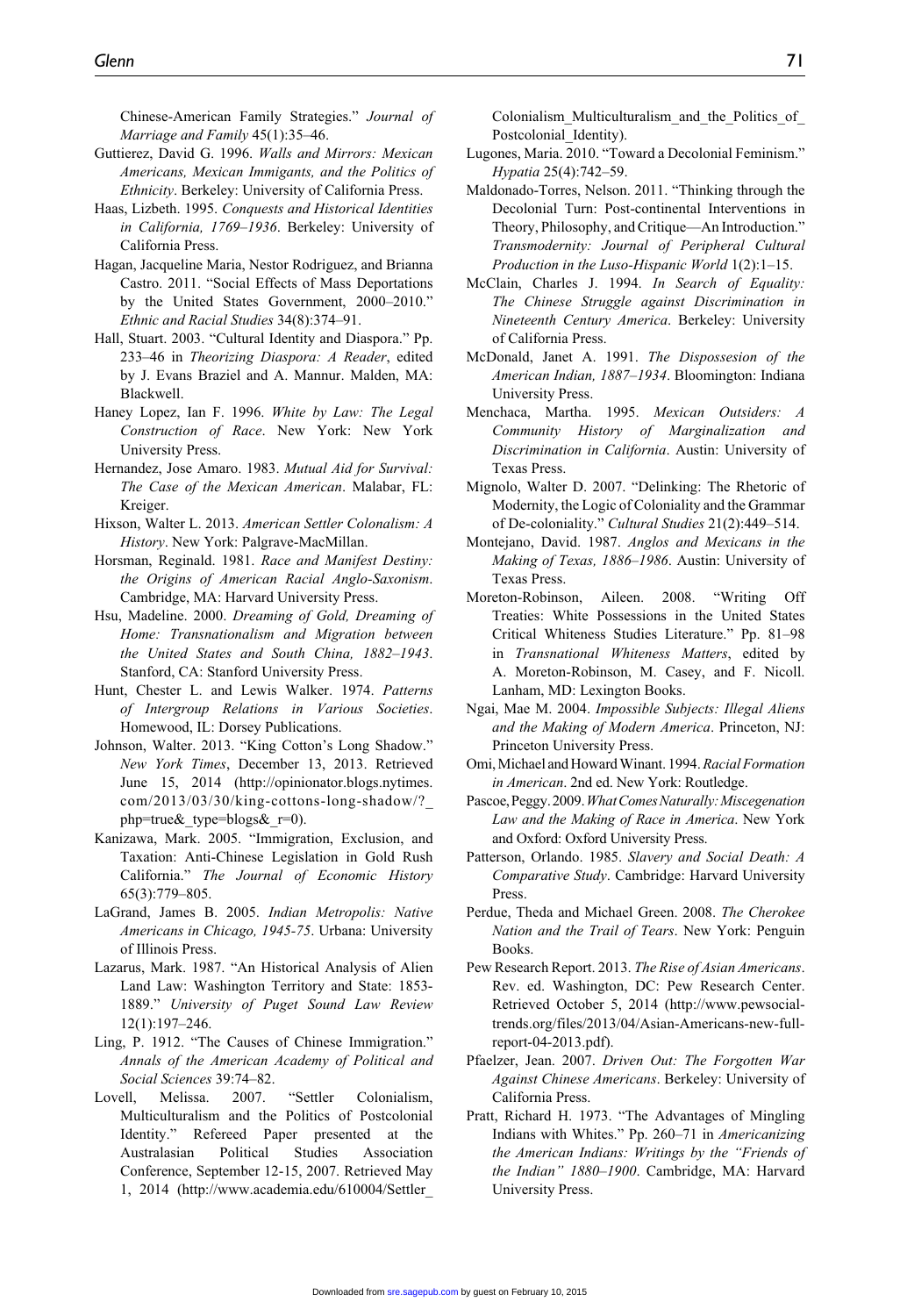Chinese-American Family Strategies." *Journal of Marriage and Family* 45(1):35–46.

- Guttierez, David G. 1996. *Walls and Mirrors: Mexican Americans, Mexican Immigants, and the Politics of Ethnicity*. Berkeley: University of California Press.
- Haas, Lizbeth. 1995. *Conquests and Historical Identities in California, 1769–1936*. Berkeley: University of California Press.
- Hagan, Jacqueline Maria, Nestor Rodriguez, and Brianna Castro. 2011. "Social Effects of Mass Deportations by the United States Government, 2000–2010." *Ethnic and Racial Studies* 34(8):374–91.
- Hall, Stuart. 2003. "Cultural Identity and Diaspora." Pp. 233–46 in *Theorizing Diaspora: A Reader*, edited by J. Evans Braziel and A. Mannur. Malden, MA: Blackwell.
- Haney Lopez, Ian F. 1996. *White by Law: The Legal Construction of Race*. New York: New York University Press.
- Hernandez, Jose Amaro. 1983. *Mutual Aid for Survival: The Case of the Mexican American*. Malabar, FL: Kreiger.
- Hixson, Walter L. 2013. *American Settler Colonalism: A History*. New York: Palgrave-MacMillan.
- Horsman, Reginald. 1981. *Race and Manifest Destiny: the Origins of American Racial Anglo-Saxonism*. Cambridge, MA: Harvard University Press.
- Hsu, Madeline. 2000. *Dreaming of Gold, Dreaming of Home: Transnationalism and Migration between the United States and South China, 1882–1943*. Stanford, CA: Stanford University Press.
- Hunt, Chester L. and Lewis Walker. 1974. *Patterns of Intergroup Relations in Various Societies*. Homewood, IL: Dorsey Publications.
- Johnson, Walter. 2013. "King Cotton's Long Shadow." *New York Times*, December 13, 2013. Retrieved June 15, 2014 (http://opinionator.blogs.nytimes. com/2013/03/30/king-cottons-long-shadow/?\_ php=true& type=blogs $&r=0$ ).
- Kanizawa, Mark. 2005. "Immigration, Exclusion, and Taxation: Anti-Chinese Legislation in Gold Rush California." *The Journal of Economic History* 65(3):779–805.
- LaGrand, James B. 2005. *Indian Metropolis: Native Americans in Chicago, 1945-75*. Urbana: University of Illinois Press.
- Lazarus, Mark. 1987. "An Historical Analysis of Alien Land Law: Washington Territory and State: 1853- 1889." *University of Puget Sound Law Review* 12(1):197–246.
- Ling, P. 1912. "The Causes of Chinese Immigration." *Annals of the American Academy of Political and Social Sciences* 39:74–82.
- Lovell, Melissa. 2007. "Settler Colonialism, Multiculturalism and the Politics of Postcolonial Identity." Refereed Paper presented at the Australasian Political Studies Association Conference, September 12-15, 2007. Retrieved May 1, 2014 (http://www.academia.edu/610004/Settler\_

Colonialism\_Multiculturalism\_and\_the\_Politics\_of\_ Postcolonial Identity).

- Lugones, Maria. 2010. "Toward a Decolonial Feminism." *Hypatia* 25(4):742–59.
- Maldonado-Torres, Nelson. 2011. "Thinking through the Decolonial Turn: Post-continental Interventions in Theory, Philosophy, and Critique—An Introduction." *Transmodernity: Journal of Peripheral Cultural Production in the Luso-Hispanic World* 1(2):1–15.
- McClain, Charles J. 1994. *In Search of Equality: The Chinese Struggle against Discrimination in Nineteenth Century America*. Berkeley: University of California Press.
- McDonald, Janet A. 1991. *The Dispossesion of the American Indian, 1887–1934*. Bloomington: Indiana University Press.
- Menchaca, Martha. 1995. *Mexican Outsiders: A Community History of Marginalization and Discrimination in California*. Austin: University of Texas Press.
- Mignolo, Walter D. 2007. "Delinking: The Rhetoric of Modernity, the Logic of Coloniality and the Grammar of De-coloniality." *Cultural Studies* 21(2):449–514.
- Montejano, David. 1987. *Anglos and Mexicans in the Making of Texas, 1886–1986*. Austin: University of Texas Press.
- Moreton-Robinson, Aileen. 2008. "Writing Off Treaties: White Possessions in the United States Critical Whiteness Studies Literature." Pp. 81–98 in *Transnational Whiteness Matters*, edited by A. Moreton-Robinson, M. Casey, and F. Nicoll. Lanham, MD: Lexington Books.
- Ngai, Mae M. 2004. *Impossible Subjects: Illegal Aliens and the Making of Modern America*. Princeton, NJ: Princeton University Press.
- Omi, Michael and Howard Winant. 1994. *Racial Formation in American*. 2nd ed. New York: Routledge.
- Pascoe, Peggy. 2009. *What Comes Naturally: Miscegenation Law and the Making of Race in America*. New York and Oxford: Oxford University Press.
- Patterson, Orlando. 1985. *Slavery and Social Death: A Comparative Study*. Cambridge: Harvard University Press.
- Perdue, Theda and Michael Green. 2008. *The Cherokee Nation and the Trail of Tears*. New York: Penguin Books.
- Pew Research Report. 2013. *The Rise of Asian Americans*. Rev. ed. Washington, DC: Pew Research Center. Retrieved October 5, 2014 (http://www.pewsocialtrends.org/files/2013/04/Asian-Americans-new-fullreport-04-2013.pdf).
- Pfaelzer, Jean. 2007. *Driven Out: The Forgotten War Against Chinese Americans*. Berkeley: University of California Press.
- Pratt, Richard H. 1973. "The Advantages of Mingling Indians with Whites." Pp. 260–71 in *Americanizing the American Indians: Writings by the "Friends of the Indian" 1880–1900*. Cambridge, MA: Harvard University Press.